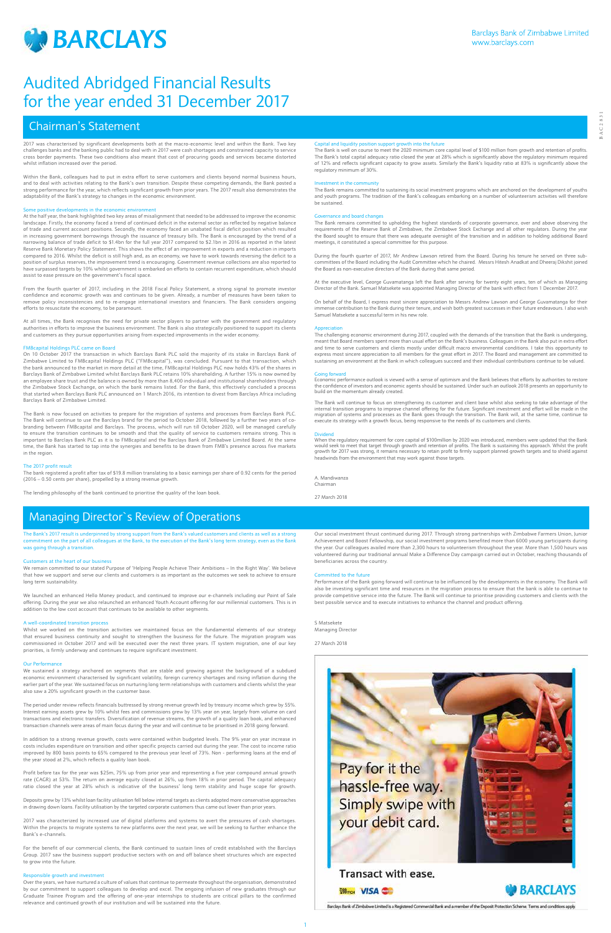

1

The Bank's 2017 result is underpinned by strong support from the Bank's valued customers and clients as well as a strong commitment on the part of all colleagues at the Bank, to the execution of the Bank's long term strategy, even as the Bank was going through a transitio



**GA NH III** 

22 年 日 **Pair even films** 

Barclays Bank of Zimbabwe Limited is a Registered Commercial Bank and a member of the Deposit Protection Scheme. Terms and conditions apply

# Chairman's Statement

# Managing Director`s Review of Operations

# Customers at the heart of our business

We remain committed to our stated Purpose of 'Helping People Achieve Their Ambitions – In the Right Way'. We believe that how we support and serve our clients and customers is as important as the outcomes we seek to achieve to ensure long term sustainability.

We launched an enhanced Hello Money product, and continued to improve our e-channels including our Point of Sale offering. During the year we also relaunched an enhanced Youth Account offering for our millennial customers. This is in addition to the low cost account that continues to be available to other segments.

### A well-coordinated transition process

Whilst we worked on the transition activities we maintained focus on the fundamental elements of our strategy that ensured business continuity and sought to strengthen the business for the future. The migration program was commissioned in October 2017 and will be executed over the next three years. IT system migration, one of our key priorities, is firmly underway and continues to require significant investment.

# Our Performance

We sustained a strategy anchored on segments that are stable and growing against the background of a subdued economic environment characterised by significant volatility, foreign currency shortages and rising inflation during the earlier part of the year. We sustained focus on nurturing long term relationships with customers and clients whilst the year also saw a 20% significant growth in the customer base.

The period under review reflects financials buttressed by strong revenue growth led by treasury income which grew by 55%. Interest earning assets grew by 10% whilst fees and commissions grew by 13% year on year, largely from volume on card transactions and electronic transfers. Diversification of revenue streams, the growth of a quality loan book, and enhanced transaction channels were areas of main focus during the year and will continue to be prioritised in 2018 going forward.

In addition to a strong revenue growth, costs were contained within budgeted levels. The 9% year on year increase in

costs includes expenditure on transition and other specific projects carried out during the year. The cost to income ratio improved by 800 basis points to 65% compared to the previous year level of 73%. Non - performing loans at the end of the year stood at 2%, which reflects a quality loan book.

Profit before tax for the year was \$25m, 75% up from prior year and representing a five year compound annual growth rate (CAGR) at 53%. The return on average equity closed at 26%, up from 18% in prior period. The capital adequacy ratio closed the year at 28% which is indicative of the business' long term stability and huge scope for growth.

Deposits grew by 13% whilst loan facility utilisation fell below internal targets as clients adopted more conservative approaches in drawing down loans. Facility utilisation by the targeted corporate customers thus came out lower than prior years.

2017 was characterized by increased use of digital platforms and systems to avert the pressures of cash shortages. Within the projects to migrate systems to new platforms over the next year, we will be seeking to further enhance the Bank's e-channels.

For the benefit of our commercial clients, the Bank continued to sustain lines of credit established with the Barclays Group. 2017 saw the business support productive sectors with on and off balance sheet structures which are expected to grow into the future.

### Responsible growth and investment

Over the years, we have nurtured a culture of values that continue to permeate throughout the organisation, demonstrated by our commitment to support colleagues to develop and excel. The ongoing infusion of new graduates through our Graduate Trainee Program and the offering of one-year internships to students are critical pillars to the confirmed relevance and continued growth of our institution and will be sustained into the future.

# Pay for it the hassle-free way. Simply swipe with your debit card.

# Transact with ease.



Our social investment thrust continued during 2017. Through strong partnerships with Zimbabwe Farmers Union, Junior Achievement and Boost Fellowship, our social investment programs benefited more than 6000 young participants during the year. Our colleagues availed more than 2,300 hours to volunteerism throughout the year. More than 1,500 hours was volunteered during our traditional annual Make a Difference Day campaign carried out in October, reaching thousands of beneficiaries across the country.

# itted to the future

Performance of the Bank going forward will continue to be influenced by the developments in the economy. The Bank will also be investing significant time and resources in the migration process to ensure that the bank is able to continue to provide competitive service into the future. The Bank will continue to prioritise providing customers and clients with the best possible service and to execute initiatives to enhance the channel and product offering.

# S Matsekete

Managing Director

27 March 2018



2017 was characterised by significant developments both at the macro-economic level and within the Bank. Two key challenges banks and the banking public had to deal with in 2017 were cash shortages and constrained capacity to service cross border payments. These two conditions also meant that cost of procuring goods and services became distorted whilst inflation increased over the period.

Within the Bank, colleagues had to put in extra effort to serve customers and clients beyond normal business hours, and to deal with activities relating to the Bank's own transition. Despite these competing demands, the Bank posted a strong performance for the year, which reflects significant growth from prior years. The 2017 result also demonstrates the adaptability of the Bank's strategy to changes in the economic environment.

# Some positive developments in the economic environment

At the half year, the bank highlighted two key areas of misalignment that needed to be addressed to improve the economic landscape. Firstly, the economy faced a trend of continued deficit in the external sector as reflected by negative balance of trade and current account positions. Secondly, the economy faced an unabated fiscal deficit position which resulted in increasing government borrowings through the issuance of treasury bills. The Bank is encouraged by the trend of a narrowing balance of trade deficit to \$1.4bn for the full year 2017 compared to \$2.1bn in 2016 as reported in the latest Reserve Bank Monetary Policy Statement. This shows the effect of an improvement in exports and a reduction in imports compared to 2016. Whilst the deficit is still high and, as an economy, we have to work towards reversing the deficit to a position of surplus reserves, the improvement trend is encouraging. Government revenue collections are also reported to have surpassed targets by 10% whilst government is embarked on efforts to contain recurrent expenditure, which should assist to ease pressure on the government's fiscal space.

From the fourth quarter of 2017, including in the 2018 Fiscal Policy Statement, a strong signal to promote investor confidence and economic growth was and continues to be given. Already, a number of measures have been taken to remove policy inconsistencies and to re-engage international investors and financiers. The Bank considers ongoing efforts to resuscitate the economy, to be paramount.

At all times, the Bank recognises the need for private sector players to partner with the government and regulatory authorities in efforts to improve the business environment. The Bank is also strategically positioned to support its clients and customers as they pursue opportunities arising from expected improvements in the wider economy.

# gs PLC came on Board

On 10 October 2017 the transaction in which Barclays Bank PLC sold the majority of its stake in Barclays Bank of Zimbabwe Limited to FMBcapital Holdings PLC ("FMBcapital"), was concluded. Pursuant to that transaction, which the bank announced to the market in more detail at the time, FMBcapital Holdings PLC now holds 43% of the shares in Barclays Bank of Zimbabwe Limited whilst Barclays Bank PLC retains 10% shareholding. A further 15% is now owned by an employee share trust and the balance is owned by more than 8,400 individual and institutional shareholders through the Zimbabwe Stock Exchange, on which the bank remains listed. For the Bank, this effectively concluded a process that started when Barclays Bank PLC announced on 1 March 2016, its intention to divest from Barclays Africa including Barclays Bank of Zimbabwe Limited.

The Bank is now focused on activities to prepare for the migration of systems and processes from Barclays Bank PLC. The Bank will continue to use the Barclays brand for the period to October 2018, followed by a further two years of cobranding between FMBcapital and Barclays. The process, which will run till October 2020, will be managed carefully to ensure the transition continues to be smooth and that the quality of service to customers remains strong. This is important to Barclays Bank PLC as it is to FMBcapital and the Barclays Bank of Zimbabwe Limited Board. At the same time, the Bank has started to tap into the synergies and benefits to be drawn from FMB's presence across five markets in the region.

# The 2017 profit result

The bank registered a profit after tax of \$19.8 million translating to a basic earnings per share of 0.92 cents for the period (2016 – 0.50 cents per share), propelled by a strong revenue growth.

The lending philosophy of the bank continued to prioritise the quality of the loan book.

## Capital and liquidity position support growth into the future

The Bank is well on course to meet the 2020 minimum core capital level of \$100 million from growth and retention of profits. The Bank's total capital adequacy ratio closed the year at 28% which is significantly above the regulatory minimum required of 12% and reflects significant capacity to grow assets. Similarly the Bank's liquidity ratio at 83% is significantly above the regulatory minimum of 30%.

### istment in the community

The Bank remains committed to sustaining its social investment programs which are anchored on the development of youths and youth programs. The tradition of the Bank's colleagues embarking on a number of volunteerism activities will therefore be sustained.

# nce and board changes

The Bank remains committed to upholding the highest standards of corporate governance, over and above observing the requirements of the Reserve Bank of Zimbabwe, the Zimbabwe Stock Exchange and all other regulators. During the year the Board sought to ensure that there was adequate oversight of the transition and in addition to holding additional Board meetings, it constituted a special committee for this purpose.

During the fourth quarter of 2017, Mr Andrew Lawson retired from the Board. During his tenure he served on three subcommittees of the Board including the Audit Committee which he chaired. Messrs Hitesh Anadkat and Dheeraj Dikshit joined the Board as non-executive directors of the Bank during that same period.

At the executive level, George Guvamatanga left the Bank after serving for twenty eight years, ten of which as Managing Director of the Bank. Samuel Matsekete was appointed Managing Director of the bank with effect from 1 December 2017.

On behalf of the Board, I express most sincere appreciation to Messrs Andrew Lawson and George Guvamatanga for their immense contribution to the Bank during their tenure, and wish both greatest successes in their future endeavours. I also wish Samuel Matsekete a successful term in his new role.

## Appreciation

The challenging economic environment during 2017, coupled with the demands of the transition that the Bank is undergoing, meant that Board members spent more than usual effort on the Bank's business. Colleagues in the Bank also put in extra effort and time to serve customers and clients mostly under difficult macro environmental conditions. I take this opportunity to express most sincere appreciation to all members for the great effort in 2017. The Board and management are committed to sustaining an environment at the Bank in which colleagues succeed and their individual contributions continue to be valued.

## Going forward

Economic performance outlook is viewed with a sense of optimism and the Bank believes that efforts by authorities to restore the confidence of investors and economic agents should be sustained. Under such an outlook 2018 presents an opportunity to build on the momentum already created.

The Bank will continue to focus on strengthening its customer and client base whilst also seeking to take advantage of the internal transition programs to improve channel offering for the future. Significant investment and effort will be made in the<br>migration of systems and processes as the Bank goes through the transition. The Bank will, at t execute its strategy with a growth focus, being responsive to the needs of its customers and clients.

Dividend When the regulatory requirement for core capital of \$100million by 2020 was introduced, members were updated that the Bank would seek to meet that target through growth and retention of profits. The Bank is sustaining this approach. Whilst the profit<br>growth for 2017 was strong, it remains necessary to retain profit to firmly support planned gr headwinds from the environment that may work against those targets.

A. Mandiwanza Chairman

27 March 2018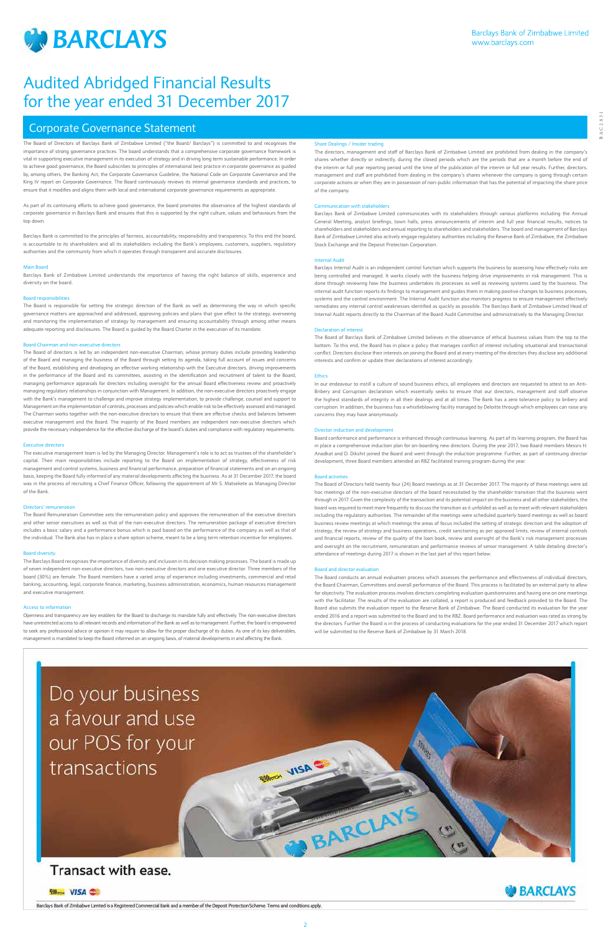

2

# Corporate Governance Statement

The Board of Directors of Barclays Bank of Zimbabwe Limited ("the Board/ Barclays") is committed to and recognises the importance of strong governance practices. The board understands that a comprehensive corporate governance framework is vital in supporting executive management in its execution of strategy and in driving long term sustainable performance. In order to achieve good governance, the Board subscribes to principles of international best practice in corporate governance as guided by, among others, the Banking Act, the Corporate Governance Guideline, the National Code on Corporate Governance and the King IV report on Corporate Governance. The Board continuously reviews its internal governance standards and practices, to ensure that it modifies and aligns them with local and international corporate governance requirements as appropriate.

As part of its continuing efforts to achieve good governance, the board promotes the observance of the highest standards of corporate governance in Barclays Bank and ensures that this is supported by the right culture, values and behaviours from the top down.

Barclays Bank is committed to the principles of fairness, accountability, responsibility and transparency. To this end the board, is accountable to its shareholders and all its stakeholders including the Bank's employees, customers, suppliers, regulatory authorities and the community from which it operates through transparent and accurate disclosures.

# Main Board

Barclays Bank of Zimbabwe Limited understands the importance of having the right balance of skills, experience and diversity on the board.

# Board responsibilities

The Board is responsible for setting the strategic direction of the Bank as well as determining the way in which specific governance matters are approached and addressed, approving policies and plans that give effect to the strategy, overseeing and monitoring the implementation of strategy by management and ensuring accountability through among other means adequate reporting and disclosures. The Board is guided by the Board Charter in the execution of its mandate.

# Board Chairman and non-executive directors

The Board of directors is led by an independent non-executive Chairman, whose primary duties include providing leadership of the Board and managing the business of the Board through setting its agenda, taking full account of issues and concerns of the Board, establishing and developing an effective working relationship with the Executive directors, driving improvements in the performance of the Board and its committees, assisting in the identification and recruitment of talent to the Board, managing performance appraisals for directors including oversight for the annual Board effectiveness review and proactively managing regulatory relationships in conjunction with Management. In addition, the non-executive directors proactively engage with the Bank's management to challenge and improve strategy implementation, to provide challenge, counsel and support to Management on the implementation of controls, processes and policies which enable risk to be effectively assessed and managed. The Chairman works together with the non-executive directors to ensure that there are effective checks and balances between executive management and the Board. The majority of the Board members are independent non-executive directors which provide the necessary independence for the effective discharge of the board's duties and compliance with regulatory requirements.

# Executive directors

The executive management team is led by the Managing Director. Management's role is to act as trustees of the shareholder's capital. Their main responsibilities include reporting to the Board on implementation of strategy, effectiveness of risk management and control systems, business and financial performance, preparation of financial statements and on an ongoing basis, keeping the Board fully informed of any material developments affecting the business. As at 31 December 2017, the board was in the process of recruiting a Chief Finance Officer, following the appointment of Mr S. Matsekete as Managing Director of the Bank.

# Directors' remuneration

The Board Remuneration Committee sets the remuneration policy and approves the remuneration of the executive directors and other senior executives as well as that of the non-executive directors. The remuneration package of executive directors includes a basic salary and a performance bonus which is paid based on the performance of the company as well as that of the individual. The Bank also has in place a share option scheme, meant to be a long term retention incentive for employees.

# Board diversity.

The Barclays Board recognises the importance of diversity and inclusion in its decision making processes. The board is made up of seven independent non-executive directors, two non-executive directors and one executive director. Three members of the board (30%) are female. The Board members have a varied array of experience including investments, commercial and retail banking, accounting, legal, corporate finance, marketing, business administration, economics, human resources management and executive management.

# Access to information

Openness and transparency are key enablers for the Board to discharge its mandate fully and effectively. The non-executive directors have unrestricted access to all relevant records and information of the Bank as well as to management. Further, the board is empowered to seek any professional advice or opinion it may require to allow for the proper discharge of its duties. As one of its key deliverables, management is mandated to keep the Board informed on an ongoing basis, of material developments in and affecting the Bank.

# Share Dealings / Insider trading

The directors, management and staff of Barclays Bank of Zimbabwe Limited are prohibited from dealing in the company's shares whether directly or indirectly, during the closed periods which are the periods that are a month before the end of the interim or full year reporting period until the time of the publication of the interim or full year results. Further, directors, management and staff are prohibited from dealing in the company's shares whenever the company is going through certain corporate actions or when they are in possession of non-public information that has the potential of impacting the share price of the company.

# Communication with stakeholders

Barclays Bank of Zimbabwe Limited communicates with its stakeholders through various platforms including the Annual General Meeting, analyst briefings, town halls, press announcements of interim and full year financial results, notices to shareholders and stakeholders and annual reporting to shareholders and stakeholders. The board and management of Barclays Bank of Zimbabwe Limited also actively engage regulatory authorities including the Reserve Bank of Zimbabwe, the Zimbabwe Stock Exchange and the Deposit Protection Corporation.

# Internal Audit

Barclays Internal Audit is an independent control function which supports the business by assessing how effectively risks are being controlled and managed. It works closely with the business helping drive improvements in risk management. This is done through reviewing how the business undertakes its processes as well as reviewing systems used by the business. The internal audit function reports its findings to management and guides them in making positive changes to business processes, systems and the control environment. The Internal Audit function also monitors progress to ensure management effectively remediates any internal control weaknesses identified as quickly as possible. The Barclays Bank of Zimbabwe Limited Head of Internal Audit reports directly to the Chairman of the Board Audit Committee and administratively to the Managing Director.

# Declaration of interest

The Board of Barclays Bank of Zimbabwe Limited believes in the observance of ethical business values from the top to the bottom. To this end, the Board has in place a policy that manages conflict of interest including situational and transactional conflict. Directors disclose their interests on joining the Board and at every meeting of the directors they disclose any additional interests and confirm or update their declarations of interest accordingly.

# **Ethics**

In our endeavour to instill a culture of sound business ethics, all employees and directors are requested to attest to an Anti-Bribery and Corruption declaration which essentially seeks to ensure that our directors, management and staff observe the highest standards of integrity in all their dealings and at all times. The Bank has a zero tolerance policy to bribery and corruption. In addition, the business has a whistleblowing facility managed by Deloitte through which employees can raise any concerns they may have anonymously.

# Director induction and development

Board conformance and performance is enhanced through continuous learning. As part of its learning program, the Board has in place a comprehensive induction plan for on-boarding new directors. During the year 2017, two Board members Messrs H. Anadkat and D. Dikshit joined the Board and went through the induction programme. Further, as part of continuing director development, three Board members attended an RBZ facilitated training program during the year.

# Board activities

The Board of Directors held twenty four (24) Board meetings as at 31 December 2017. The majority of these meetings were ad hoc meetings of the non-executive directors of the board necessitated by the shareholder transition that the business went through in 2017. Given the complexity of the transaction and its potential impact on the business and all other stakeholders, the board was required to meet more frequently to discuss the transition as it unfolded as well as to meet with relevant stakeholders including the regulatory authorities. The remainder of the meetings were scheduled quarterly board meetings as well as board business review meetings at which meetings the areas of focus included the setting of strategic direction and the adoption of strategy, the review of strategy and business operations, credit sanctioning as per approved limits, review of internal controls and financial reports, review of the quality of the loan book, review and oversight of the Bank's risk management processes and oversight on the recruitment, remuneration and performance reviews of senior management. A table detailing director's attendance of meetings during 2017 is shown in the last part of this report below.

# Board and director evaluati

The Board conducts an annual evaluation process which assesses the performance and effectiveness of individual directors, the Board Chairman, Committees and overall performance of the Board. This process is facilitated by an external party to allow for objectivity. The evaluation process involves directors completing evaluation questionnaires and having one on one meetings with the facilitator. The results of the evaluation are collated, a report is produced and feedback provided to the Board. The Board also submits the evaluation report to the Reserve Bank of Zimbabwe. The Board conducted its evaluation for the year ended 2016 and a report was submitted to the Board and to the RBZ. Board performance and evaluation was rated as strong by the directors. Further the Board is in the process of conducting evaluations for the year ended 31 December 2017 which report will be submitted to the Reserve Bank of Zimbabwe by 31 March 2018.

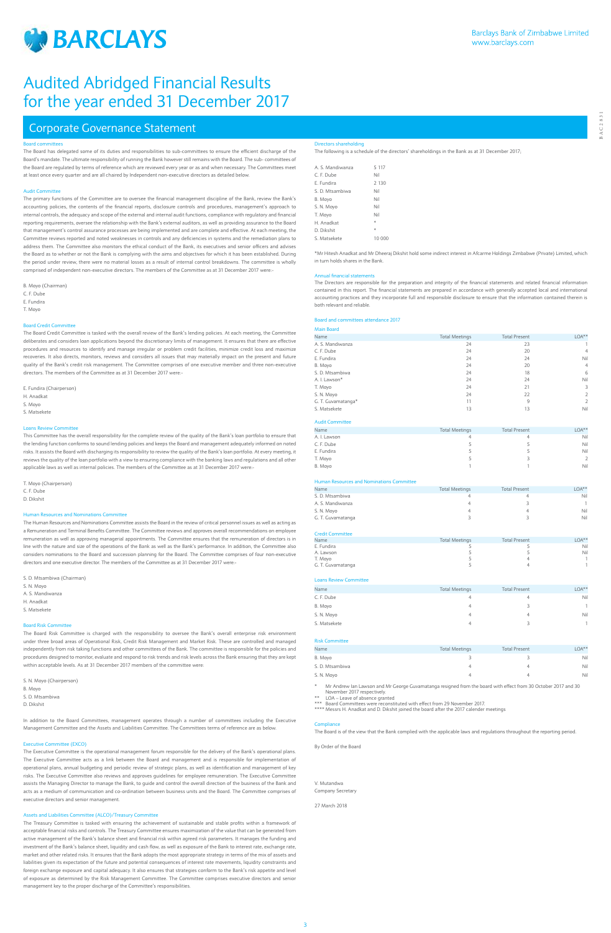

BAC2831

**BAC2831** 

# Board committees

The Board has delegated some of its duties and responsibilities to sub-committees to ensure the efficient discharge of the Board's mandate. The ultimate responsibility of running the Bank however still remains with the Board. The sub- committees of the Board are regulated by terms of reference which are reviewed every year or as and when necessary. The Committees meet at least once every quarter and are all chaired by Independent non-executive directors as detailed below.

# Audit Committee

The Board Credit Committee is tasked with the overall review of the Bank's lending policies. At each meeting, the Committee deliberates and considers loan applications beyond the discretionary limits of management. It ensures that there are effective procedures and resources to identify and manage irregular or problem credit facilities, minimize credit loss and maximize recoveries. It also directs, monitors, reviews and considers all issues that may materially impact on the present and future quality of the Bank's credit risk management. The Committee comprises of one executive member and three non-executive directors. The members of the Committee as at 31 December 2017 were:

The primary functions of the Committee are to oversee the financial management discipline of the Bank, review the Bank's accounting policies, the contents of the financial reports, disclosure controls and procedures, management's approach to internal controls, the adequacy and scope of the external and internal audit functions, compliance with regulatory and financial reporting requirements, oversee the relationship with the Bank's external auditors, as well as providing assurance to the Board that management's control assurance processes are being implemented and are complete and effective. At each meeting, the Committee reviews reported and noted weaknesses in controls and any deficiencies in systems and the remediation plans to address them. The Committee also monitors the ethical conduct of the Bank, its executives and senior officers and advises the Board as to whether or not the Bank is complying with the aims and objectives for which it has been established. During the period under review, there were no material losses as a result of internal control breakdowns. The committee is wholly comprised of independent non-executive directors. The members of the Committee as at 31 December 2017 were:-

The Human Resources and Nominations Committee assists the Board in the review of critical personnel issues as well as acting as a Remuneration and Terminal Benefits Committee. The Committee reviews and approves overall recommendations on employee remuneration as well as approving managerial appointments. The Committee ensures that the remuneration of directors is in line with the nature and size of the operations of the Bank as well as the Bank's performance. In addition, the Committee also considers nominations to the Board and succession planning for the Board. The Committee comprises of four non-executive directors and one executive director. The members of the Committee as at 31 December 2017 were:

B. Moyo (Chairman) C. F. Dube E. Fundira T. Moyo

# Board Credit Committee

E. Fundira (Chairperson) H. Anadkat S. Moyo S. Matsekete

# Loans Review Committee

This Committee has the overall responsibility for the complete review of the quality of the Bank's loan portfolio to ensure that the lending function conforms to sound lending policies and keeps the Board and management adequately informed on noted risks. It assists the Board with discharging its responsibility to review the quality of the Bank's loan portfolio. At every meeting, it reviews the quality of the loan portfolio with a view to ensuring compliance with the banking laws and regulations and all other applicable laws as well as internal policies. The members of the Committee as at 31 December 2017 were:-

T. Moyo (Chairperson) C. F. Dube D. Dikshit

# Human Resources and Nominations Committee

S. D. Mtsambiwa (Chairman)

S. N. Moyo

A. S. Mandiwanza

- H. Anadkat
- S. Matsekete

# Board Risk Committee

The Board Risk Committee is charged with the responsibility to oversee the Bank's overall enterprise risk environment under three broad areas of Operational Risk, Credit Risk Management and Market Risk. These are controlled and managed independently from risk taking functions and other committees of the Bank. The committee is responsible for the policies and procedures designed to monitor, evaluate and respond to risk trends and risk levels across the Bank ensuring that they are kept within acceptable levels. As at 31 December 2017 members of the committee were:

> Mr Andrew Ian Lawson and Mr George Guvamatanga resigned from the board with effect from 30 October 2017 and 30 November 2017 respectively.

EDA – Leave of absence granted

Board Committees were reconstituted with effect from 29 November 2017.

S. N. Moyo (Chairperson)

- B. Moyo
- S. D. Mtsambiwa

D. Dikshit

In addition to the Board Committees, management operates through a number of committees including the Executive Management Committee and the Assets and Liabilities Committee. The Committees terms of reference are as below.

# Executive Committee (EXCO)

The Executive Committee is the operational management forum responsible for the delivery of the Bank's operational plans. The Executive Committee acts as a link between the Board and management and is responsible for implementation of operational plans, annual budgeting and periodic review of strategic plans, as well as identification and management of key risks. The Executive Committee also reviews and approves guidelines for employee remuneration. The Executive Committee assists the Managing Director to manage the Bank, to guide and control the overall direction of the business of the Bank and acts as a medium of communication and co-ordination between business units and the Board. The Committee comprises of executive directors and senior management.

# Assets and Liabilities Committee (ALCO)/Treasury Committee

The Treasury Committee is tasked with ensuring the achievement of sustainable and stable profits within a framework of acceptable financial risks and controls. The Treasury Committee ensures maximization of the value that can be generated from active management of the Bank's balance sheet and financial risk within agreed risk parameters. It manages the funding and investment of the Bank's balance sheet, liquidity and cash flow, as well as exposure of the Bank to interest rate, exchange rate, market and other related risks. It ensures that the Bank adopts the most appropriate strategy in terms of the mix of assets and liabilities given its expectation of the future and potential consequences of interest rate movements, liquidity constraints and foreign exchange exposure and capital adequacy. It also ensures that strategies conform to the Bank's risk appetite and level of exposure as determined by the Risk Management Committee. The Committee comprises executive directors and senio management key to the proper discharge of the Committee's responsibilities.

# Corporate Governance Statement

# Directors shareholding

The following is a schedule of the directors' shareholdings in the Bank as at 31 December 2017;

| A S Mandiwanza  | 5 1 1 7 |
|-----------------|---------|
| C. F. Dube      | Nil     |
| E. Fundira      | 2 1 3 0 |
| S. D. Mtsambiwa | Nil     |
| B. Moyo         | Nil     |
| S. N. Moyo      | Nil     |
| T. Moyo         | Nil     |
| H Anadkat       | $\ast$  |
| D. Dikshit      | $\ast$  |
| S Matsekete     | 10.000  |
|                 |         |

\*Mr Hitesh Anadkat and Mr Dheeraj Dikshit hold some indirect interest in Afcarme Holdings Zimbabwe (Private) Limited, which in turn holds shares in the Bank.

### Annual financial state

The Directors are responsible for the preparation and integrity of the financial statements and related financial information contained in this report. The financial statements are prepared in accordance with generally accepted local and international accounting practices and they incorporate full and responsible disclosure to ensure that the information contained therein is both relevant and reliable.

# Board and committees attendance 2017

## Main Board

| Name               | <b>Total Meetings</b> | <b>Total Present</b> | $LOA***$       |
|--------------------|-----------------------|----------------------|----------------|
| A. S. Mandiwanza   | 24                    | 23                   |                |
| C. F. Dube         | 24                    | 20                   | 4              |
| E. Fundira         | 24                    | 24                   | Nil            |
| B. Moyo            | 24                    | 20                   | 4              |
| S. D. Mtsambiwa    | 24                    | 18                   | 6              |
| A. I. Lawson*      | 24                    | 24                   | Nil            |
| T. Moyo            | 24                    | 21                   | 3              |
| S. N. Moyo         | 24                    | 22                   | $\overline{2}$ |
| G. T. Guvamatanga* | 11                    | 9                    | $\overline{2}$ |
| S. Matsekete       | 13                    | 13                   | Nil            |
|                    |                       |                      |                |

# Audit Committee

| <b>Total Meetings</b> | <b>Total Present</b> | $LOA***$ |
|-----------------------|----------------------|----------|
| 4                     |                      | Nil      |
|                       |                      | Nil      |
|                       |                      | Nil      |
|                       |                      | 2        |
|                       |                      | Nil      |
|                       |                      |          |

# Human Resources and Nominations Committee

| Name              | <b>Total Meetings</b> | <b>Total Present</b> | $DA**$ |
|-------------------|-----------------------|----------------------|--------|
| S. D. Mtsambiwa   |                       |                      | Nil    |
| A. S. Mandiwanza  | 4                     |                      |        |
| S. N. Moyo        | 4                     |                      | Nil    |
| G. T. Guvamatanga |                       |                      | Nil    |
|                   |                       |                      |        |

# Credit Committee

| Name              | <b>Total Meetings</b> | <b>Total Present</b> | $LOA**$ |
|-------------------|-----------------------|----------------------|---------|
| E. Fundira        |                       |                      | Nil     |
| A. Lawson         |                       |                      | Nil     |
| T. Moyo           |                       |                      |         |
| G. T. Guvamatanga |                       |                      |         |

# Loans Review Committee

| Name         | <b>Total Meetings</b> | <b>Total Present</b> | $LOA**$ |
|--------------|-----------------------|----------------------|---------|
| C. F. Dube   | 4                     |                      | Nil     |
| B. Moyo      | 4                     |                      |         |
| S. N. Moyo   | 4                     |                      | Nil     |
| S. Matsekete | 4                     |                      |         |

# Risk Committee

| Name            | <b>Total Meetings</b> | <b>Total Present</b> | $LOA**$ |
|-----------------|-----------------------|----------------------|---------|
| B. Moyo         |                       |                      | Nil     |
| S. D. Mtsambiwa |                       | 4                    | Nil     |
| S. N. Moyo      |                       | Δ                    | Nil     |

\*\*\*\* Messrs H. Anadkat and D. Dikshit joined the board after the 2017 calender meetings

The Board is of the view that the Bank complied with the applicable laws and regulations throughout the reporting period.

## By Order of the Board

V. Mutandwa Company Secretary

27 March 2018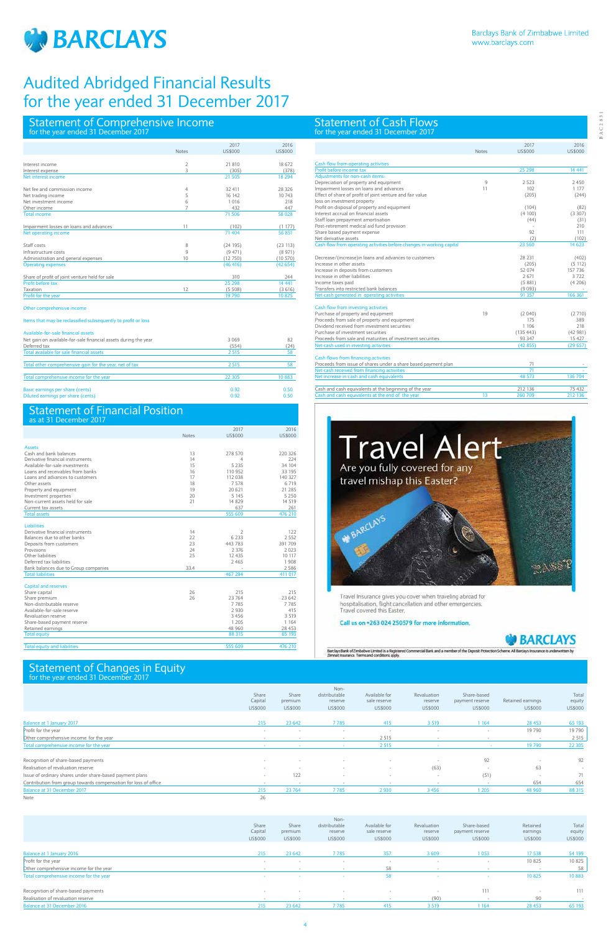

# Statement of Cash Flows for the year ended 31 December 2017

# Statement of Changes in Equity for the year ended 31 December 2017

# Statement of Financial Position

# Statement of Comprehensive Income for the year ended 31 December 2017

| as at 31 December 2017               |              |                |         |
|--------------------------------------|--------------|----------------|---------|
|                                      |              | 2017           | 2016    |
|                                      | <b>Notes</b> | <b>US\$000</b> | US\$000 |
|                                      |              |                |         |
| <b>Assets</b>                        |              |                |         |
| Cash and bank balances               | 13           | 278 570        | 220 326 |
| Derivative financial instruments     | 14           | $\overline{4}$ | 224     |
| Available-for-sale investments       | 15           | 5 2 3 5        | 34 104  |
| Loans and receivables from banks     | 16           | 110 952        | 33 195  |
| Loans and advances to customers      | 17           | 112 038        | 140 327 |
| Other assets                         | 18           | 7578           | 6719    |
| Property and equipment               | 19           | 20 621         | 21 285  |
| Investment properties                | 20           | 5 1 4 5        | 5 2 5 0 |
| Non-current assets held for sale     | 21           | 14829          | 14 5 19 |
| Current tax assets                   |              | 637            | 261     |
| <b>Total assets</b>                  |              | 555 609        | 476 210 |
| <b>Liabilities</b>                   |              |                |         |
| Derivative financial instruments     | 14           | 2              | 122     |
| Balances due to other banks          | 22           | 6 2 3 3        | 2 5 5 2 |
| Deposits from customers              | 23           | 443 783        | 391 709 |
| Provisions                           | 24           | 2 3 7 6        | 2023    |
| Other liabilities                    | 25           | 12435          | 10 117  |
| Deferred tax liabilities             |              | 2465           | 1908    |
| Bank balances due to Group companies | 33.4         |                | 2 5 8 6 |
| <b>Total liabilities</b>             |              | 467 294        | 411 017 |
| Capital and reserves                 |              |                |         |
| Share capital                        | 26           | 215            | 215     |
| Share premium                        | 26           | 23 764         | 23 642  |
| Non-distributable reserve            |              | 7785           | 7785    |
| Available-for-sale reserve           |              | 2930           | 415     |
| Revaluation reserve                  |              | 3456           | 3 5 1 9 |
| Share-based payment reserve          |              | 1 2 0 5        | 1 1 6 4 |
| Retained earnings                    |              | 48 960         | 28 453  |
| <b>Total equity</b>                  |              | 88 315         | 65 193  |
|                                      |              |                |         |
| <b>Total equity and liabilities</b>  |              | 555 609        | 476 210 |

|                                                |                | 2017      | 2016           |
|------------------------------------------------|----------------|-----------|----------------|
|                                                | <b>Notes</b>   | US\$000   | <b>US\$000</b> |
| Interest income                                | 2              | 21 810    | 18 672         |
| Interest expense                               | 3              | (305)     | (378)          |
| Net interest income                            |                | 21 505    | 18 2 94        |
| Net fee and commission income                  | 4              | 32 411    | 28 326         |
| Net trading income                             | 5              | 16 142    | 10 743         |
| Net investment income                          | 6              | 1 0 1 6   | 218            |
| Other income                                   | $\overline{7}$ | 432       | 447            |
| <b>Total income</b>                            |                | 71 506    | 58 028         |
| Impairment losses on loans and advances        | 11             | (102)     | (1177)         |
| Net operating income                           |                | 71 404    | 56 851         |
| Staff costs                                    | 8              | (24195)   | (23 113)       |
| Infrastructure costs                           | 9              | (9471)    | (8971)         |
| Administration and general expenses            | 10             | (12750)   | (10570)        |
| <b>Operating expenses</b>                      |                | (46, 416) | (42654)        |
| Share of profit of joint venture held for sale |                | 310       | 244            |
| Profit before tax                              |                | 25 298    | 14 4 41        |
| Taxation                                       | 12             | (5508)    | (3616)         |
| Profit for the year                            |                | 19 790    | 10825          |

Items that may be reclassified subsequently to profit or loss

# Available-for-sale financial assets

| Available-tor-sale linancial assets                             |         |       |
|-----------------------------------------------------------------|---------|-------|
| Net gain on available-for-sale financial assets during the year | 3 0 6 9 | 82    |
| Deferred tax                                                    | (554)   | (24)  |
| Total available for sale financial assets                       | 2 5 1 5 | 58    |
| Total other comprehensive gain for the year, net of tax         | 2 5 1 5 | 58    |
| Total comprehensive income for the year                         | 22 305  | 10883 |
| Basic earnings per share (cents)                                | 0.92    | 0.50  |
| Diluted earnings per share (cents)                              | 0.92    | 0.50  |

|                                                                 | Share<br>Capital<br>US\$000 | Share<br>premium<br>US\$000 | Non-<br>distributable<br>reserve<br>US\$000 | Available for<br>sale reserve<br>US\$000 | Revaluation<br>reserve<br>US\$000 | Share-based<br>payment reserve<br>US\$000 | Retained earnings<br>US\$000 | Total<br>equity<br>US\$000 |
|-----------------------------------------------------------------|-----------------------------|-----------------------------|---------------------------------------------|------------------------------------------|-----------------------------------|-------------------------------------------|------------------------------|----------------------------|
| Balance at 1 January 2017                                       | 215                         | 23 642                      | 7785                                        | 415                                      | 3 5 1 9                           | 1 1 6 4                                   | 28 4 53                      | 65 193                     |
| Profit for the year                                             | $\sim$                      | $\overline{\phantom{a}}$    | $\sim$                                      | $\sim$                                   | $\sim$                            | $\sim$                                    | 19790                        | 19790                      |
| Other comprehensive income for the year                         | $\sim$                      | $\overline{\phantom{a}}$    | $\sim$                                      | 2 5 1 5                                  | $\sim$                            | $\sim$                                    | $\sim$                       | 2 5 1 5                    |
| Total comprehensive income for the year                         | $\sim$                      | $\sim$                      |                                             | 2 5 1 5                                  |                                   | $\sim$                                    | 19790                        | 22 305                     |
| Recognition of share-based payments                             | $\sim$                      | $\overline{\phantom{a}}$    |                                             | $\overline{\phantom{a}}$                 |                                   | 92                                        | $\sim$                       | 92                         |
| Realisation of revaluation reserve                              |                             | $\overline{\phantom{a}}$    | $\overline{\phantom{a}}$                    | $\sim$                                   | (63)                              | $\sim$                                    | 63                           | $\sim$                     |
| Issue of ordinary shares under share-based payment plans        | $\overline{\phantom{a}}$    | 122                         | $\sim$                                      | $\sim$                                   | $\sim$                            | (51)                                      | $\sim$                       | 71                         |
| Contribution from group towards compensation for loss of office | $\overline{\phantom{a}}$    | $\overline{\phantom{a}}$    | $\overline{\phantom{a}}$                    | $\sim$                                   | $\sim$                            | $\sim$                                    | 654                          | 654                        |
| Balance at 31 December 2017                                     | 215                         | 23 764                      | 7785                                        | 2930                                     | 3456                              | 1 2 0 5                                   | 48 960                       | 88 315                     |
| Note                                                            | 26                          |                             |                                             |                                          |                                   |                                           |                              |                            |

|                                         | Share<br>Capital<br>US\$000 | Share<br>premium<br>US\$000 | Non-<br>distributable<br>reserve<br>US\$000 | Available for<br>sale reserve<br>US\$000 | Revaluation<br>reserve<br>US\$000 | Share-based<br>payment reserve<br>US\$000 | Retained<br>earnings<br>US\$000 | Total<br>equity<br>US\$000 |
|-----------------------------------------|-----------------------------|-----------------------------|---------------------------------------------|------------------------------------------|-----------------------------------|-------------------------------------------|---------------------------------|----------------------------|
|                                         |                             |                             |                                             |                                          |                                   |                                           |                                 |                            |
| Balance at 1 January 2016               | 215                         | 23 642                      | 7785                                        | 357                                      | 3609                              | 1053                                      | 17 538                          | 54 199                     |
| Profit for the year                     | $\sim$                      | $\sim$                      | $\sim$                                      | $\sim$                                   | $\sim$                            | $\sim$                                    | 10825                           | 10 825                     |
| Other comprehensive income for the year | $\sim$                      |                             |                                             | 58                                       |                                   | $\overline{\phantom{a}}$                  |                                 | 58                         |
| Total comprehensive income for the year | $\sim$                      | <b>Section</b>              | $\sim$                                      | 58                                       | $\sim$                            | $\sim$                                    | 10825                           | 10883                      |
|                                         |                             |                             |                                             |                                          |                                   |                                           |                                 |                            |
| Recognition of share-based payments     | . .                         | $\sim$                      | $\sim$                                      |                                          | $\sim$                            | 111                                       | $\sim$                          | 111                        |
| Realisation of revaluation reserve      | $\sim$                      | $\sim$                      | $\sim$                                      |                                          | (90)                              | $\sim$                                    | 90                              | . .                        |
| Balance at 31 December 2016             | 215                         | 23 642                      | 7785                                        | 415                                      | 3 5 1 9                           | 164                                       | 28 4 53                         | 65 193                     |

|                                                                       | <b>Notes</b> | 2017<br>US\$000 | 2016<br>US\$000 |
|-----------------------------------------------------------------------|--------------|-----------------|-----------------|
|                                                                       |              |                 |                 |
| Cash flow from operating activities                                   |              |                 |                 |
| Profit before income tax                                              |              | 25 298          | 14 4 41         |
| Adjustments for non-cash items:                                       |              |                 |                 |
| Depreciation of property and equipment                                | 9            | 2.523           | 2450            |
| Impairment losses on loans and advances                               | 11           | 102             | 1 177           |
| Effect of share of profit of joint venture and fair value             |              | (205)           | (244)           |
| loss on investment property                                           |              |                 |                 |
| Profit on disposal of property and equipment                          |              | (104)           | (82)            |
| Interest accrual on financial assets                                  |              | (4100)          | (3307)          |
| Staff loan prepayment amortisation                                    |              | (44)            | (31)            |
| Post-retirement medical aid fund provision                            |              |                 | 210             |
| Share based payment expense                                           |              | 92              | 111             |
| Net derivative assets                                                 |              | (2)             | (102)           |
| Cash flow from operating activities before changes in working capital |              | 23 5 60         | 14 623          |
| Decrease/(increase)in loans and advances to customers                 |              | 28 231          | (402)           |
| Increase in other assets                                              |              | (205)           | (5112)          |
| Increase in deposits from customers                                   |              | 52 074          | 157 736         |
| Increase in other liabilities                                         |              | 2671            | 3722            |
| Income taxes paid                                                     |              | (5881)          | (4206)          |
| Transfers into restricted bank balances                               |              | (9093)          |                 |
| Net cash generated in operating activities                            |              | 91 357          | 166 361         |
| Cash flow from investing activities                                   |              |                 |                 |
| Purchase of property and equipment                                    | 19           | (2040)          | (2710)          |
| Proceeds from sale of property and equipment                          |              | 175             | 389             |
| Dividend received from investment securities                          |              | 1 1 0 6         | 218             |
| Purchase of investment securities                                     |              | (135 443)       | (42981)         |
| Proceeds from sale and maturities of investment securities            |              | 93 347          | 15 427          |
| Net cash used in investing activities                                 |              | (42855)         | (29657)         |
| Cash flows from financing activities                                  |              |                 |                 |
| Proceeds from issue of shares under a share based payment plan        |              | 71              |                 |
| Net cash received from financing activities                           |              | 71              |                 |
| Net increase in cash and cash equivalents                             |              | 48 573          | 136 704         |
| Cash and cash equivalents at the beginning of the year                |              | 212 136         | 75 432          |
| Cash and cash equivalents at the end of the year                      | 13           | 260 709         | 212 136         |
|                                                                       |              |                 |                 |



Travel Insurance gives you cover when traveling abroad for<br>hospitalisation, flight cancellation and other emergencies.<br>Travel covered this Easter,

# Call us on +263 024 250579 for more information.

# **BARCLAYS**

Barclays Bank of Zimbabwe Limited is a Registered Commercial Bank and a member of the Deposit Protection Scheme. All Barclays In<br>Zimnat Insurance. Terms and conditions apply.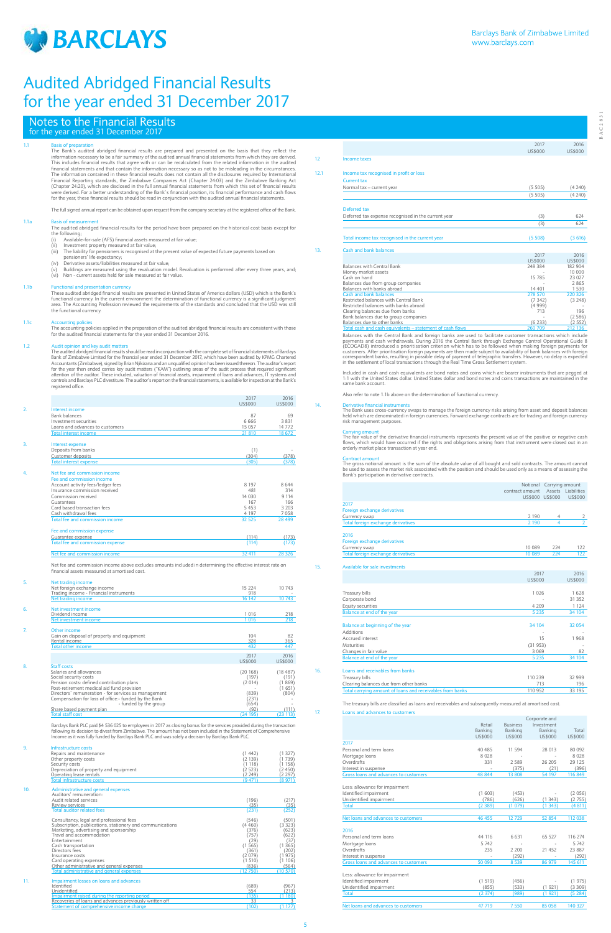

1.1 Basis of preparation The Bank's audited abridged financial results are prepared and presented on the basis that they reflect the information necessary to be a fair summary of the audited annual financial statements from which they are derived.<br>This includes financial results that agree with or can be recalculated from the related information in the financial statements and that contain the information necessary so as not to be misleading in the circumstances. The information contained in these financial results does not contain all the disclosures required by International<br>Financial Reporting standards, the Zimbabwe Companies Act (Chapter 24:03) and the Zimbabwe Banking Act<br>(Ch were derived. For a better understanding of the Bank`s financial position, its financial performance and cash flows<br>for the year, these financial results should be read in conjunction with the audited annual financial stat

# Notes to the Financial Results for the year ended 31 December 2017

These audited abridged financial results are presented in United States of America dollars (USD) which is the Bank's<br>functional currency. In the current environment the determination of functional currency is a significant area. The Accounting Profession reviewed the requirements of the standards and concluded that the USD was still the functional currency.

### 1.1c Accounting polici

The full signed annual report can be obtained upon request from the company secretary at the registered office of the Bank.

1.1a Basis of measurement The audited abridged financial results for the period have been prepared on the historical cost basis except for the following;

- (i) Available-for-sale (AFS) financial assets measured at fair value;<br>(ii) Investment property measured at fair value;
- (ii) Investment property measured at fair value; (iii) The liability for pensioners is recognised at the present value of expected future payments based on
- pensioners' life expectancy;<br>Derivative assets/liabilities measured at fair value;
- 

(iv) Derivative assets/liabilities measured at fair value;<br>(v) Buildings are measured using the revaluation model. Revaluation is performed after every three years, and;<br>(vi) Non - current assets held for sale measur

# 1.1b Functional and presentation currency

The accounting policies applied in the preparation of the audited abridged financial results are consistent with those for the audited financial statements for the year ended 31 December 2016.

## 1.2 Audit opinion and key audit matters

The audited abridged financial results should be read in conjunction with the complete set of financial statements of Barclays Bank of Zimbabwe Limited for the financial year ended 31 December 2017, which have been audited by KPMG Chartered<br>Accountants (Zimbabwe), signed by Brian Njikizana and an unqualified opinion has been issued thereon. The au for the year then ended carries key audit matters ("KAM") outlining areas of the audit process that required significant<br>attention of the auditor. These included, valuation of financial assets, impairment of loans and adva controls and Barclays PLC divestiture. The auditor's report on the financial statements, is available for inspection at the Bank's registered office.

|                                   | 2017<br>US\$000 | 2016<br><b>US\$000</b> |
|-----------------------------------|-----------------|------------------------|
| Interest income                   |                 |                        |
| <b>Bank balances</b>              | 87              | 69                     |
| Investment securities             | 6666            | 3831                   |
| Loans and advances to customers   | 15 0 57         | 14772                  |
| Total interest income             | 21 810          | 18 672                 |
| Interest expense                  |                 |                        |
| Deposits from banks               | (1)             |                        |
| Customer deposits                 | (304)           | (378)                  |
| <b>Total interest expense</b>     | (305)           | (378)                  |
| Net fee and commission income     |                 |                        |
| Fee and commission income         |                 |                        |
| Account activity fees/ledger fees | 8 1 9 7         | 8644                   |
| Insurance commission received     | 481             | 314                    |
| Commission received               | 14 0 30         | 9 1 1 4                |
| Guarantees                        | 167             | 166                    |
| Card based transaction fees       | 5453            | 3 2 0 3                |
| Cash withdrawal fees              | 4 1 9 7         | 7058                   |
| Total fee and commission income   | 32 5 25         | 28 4 99                |
| Fee and commission expense        |                 |                        |
| Guarantee expense                 | (114)           | (173)                  |
| Total fee and commission expense  | (114)           | (173)                  |
| Net fee and commission income     | 32 411          | 28 3 26                |

Included in cash and cash equivalents are bond notes and coins which are bearer instruments that are pegged at<br>1:1 with the United States dollar. United States dollar and bond notes and coins transactions are maintained in same bank account.

Carrying amount<br>The fair value of the derivative financial instruments represents the present value of the positive or negative cash<br>flows, which would have occurred if the rights and obligations arising from that instrume orderly market place transaction at year end.

5. Net trading income Net foreign exchange income<br>
Trading income - Financial instruments<br>
Net trading income - Financial instruments<br>
Net trading income - 16 142 10 743 Trading income - Financial instruments 918 - Net trading income 16 142 10 743 ent incor Poidend income 1016 218<br>
Net investment income 1016 218 Net investment income 1 016 218 7. Other income Gain on disposal of property and equipment  $\frac{82}{208}$ <br>Rental income  $\frac{328}{365}$ Rental income Total other income 432 447 2017 2016<br>US\$000 US\$000 US\$000 US\$000 8. Staff costs Salaries and allowances (20 168) (18 487) Social security costs (197) (191) Pension costs: defined contribution plans (2 014) (1 869) Post-retirement medical aid fund provision - (1 651)<br>Directors` remuneration - for services as management - (1 804) - (804) - (804) - (804) - (804) - (804) - (804)<br>- - (231) - - (231) - (231) - (231) - (231) - (231) - (231 ervices as management<br>
ervices as management<br>  $\frac{1}{2}$ -funded by the group<br>
- funded by the group<br>  $\frac{(654)}{(654)}$ <br>  $\frac{(22)}{(24125)}$ <br>  $\frac{(111)}{(24195)}$ <br>  $\frac{(22)(111)}{(23113)}$ Share based payment plan Total staff cost (24 195) (23 113)

Barclays Bank PLC paid \$4 536 025 to employees in 2017 as closing bonus for the services provided during the transaction following its decision to divest from Zimbabwe. The amount has not been included in the Statement of Comprehensive Income as it was fully funded by Barclays Bank PLC and was solely a decision by Barclays Bank PLC.

| 9.  | Infrastructure costs                                      |          |         |
|-----|-----------------------------------------------------------|----------|---------|
|     | Repairs and maintenance                                   | (1 442)  | (1327)  |
|     | Other property costs                                      | (2139)   | 1739)   |
|     | Security costs                                            | (1 118)  | 1158)   |
|     | Depreciation of property and equipment                    | (2523)   | 2450)   |
|     | Operating lease rentals                                   | (2249)   | (2297)  |
|     | Total infrastructure costs                                | (9 471)  | (8971)  |
| 10. | Administrative and general expenses                       |          |         |
|     | Auditors' remuneration:                                   |          |         |
|     | Audit related services                                    | (196)    | (217)   |
|     | Review services                                           | (35)     | (35)    |
|     | <b>Total auditor related fees</b>                         | (231)    | (252)   |
|     | Consultancy, legal and professional fees                  | (546)    | (501)   |
|     | Subscription, publications, stationery and communications | (4460)   | (3323)  |
|     | Marketing, advertising and sponsorship                    | (376)    | (623)   |
|     | Travel and accommodation                                  | 757      | 622)    |
|     | Entertainment                                             | (29)     | (37)    |
|     | Cash transportation                                       | (1565)   | (1365)  |
|     | Directors fees                                            | (361     | 202)    |
|     | Insurance costs                                           | (2079)   | 1975)   |
|     | Card operating expenses                                   | (1 510)  | 106)    |
|     | Other administrative and general expenses                 | (836)    | (564)   |
|     | Total administrative and general expenses                 | (12 750) | (10570) |
| 11. | Impairment losses on loans and advances                   |          |         |
|     | Identified                                                | (689)    | (967)   |
|     | Unidentified                                              | 554      | (213)   |

| Unidentified                                            |  |
|---------------------------------------------------------|--|
| Impairment raised during the reporting period           |  |
| Recoveries of loans and advances previously written off |  |
| Statement of comprehensive income charge                |  |

|                                                                     | 2017              | 2016               |
|---------------------------------------------------------------------|-------------------|--------------------|
|                                                                     | US\$000           | <b>US\$000</b>     |
| Income taxes                                                        |                   |                    |
| Income tax recognised in profit or loss                             |                   |                    |
| Current tax                                                         |                   |                    |
| Normal tax - current year                                           | (5505)            | (4240)             |
|                                                                     | (5505)            | (4240)             |
|                                                                     |                   |                    |
|                                                                     |                   |                    |
| Deferred tax                                                        |                   |                    |
| Deferred tax expense recognised in the current year                 | (3)               | 624                |
|                                                                     | (3)               | 624                |
|                                                                     |                   |                    |
| Total income tax recognised in the current year                     | (5508)            | (3616)             |
| Cash and bank balances                                              |                   |                    |
|                                                                     | 2017              | 2016               |
|                                                                     | <b>US\$000</b>    | <b>US\$000</b>     |
| Balances with Central Bank                                          | 248 384           | 182 904            |
| Money market assets                                                 |                   | 10 000             |
| Cash on hand                                                        | 15 7 85           | 23 027             |
| Balances due from group companies                                   |                   | 2865               |
| Balances with banks abroad<br>Cash and bank balances                | 14 401<br>278 570 | 1 5 3 0<br>220 326 |
| Restricted balances with Central Bank                               | (7342)            | (3248)             |
| Restricted balances with banks abroad                               | (4999)            |                    |
| Clearing balances due from banks                                    | 713               | 196                |
|                                                                     |                   |                    |
|                                                                     |                   |                    |
| Bank balances due to group companies<br>Balances due to other banks | (6233)            | (2586)<br>(2552)   |

Balances with the Central Bank and foreign banks are used to facilitate customer transactions which payments and cash withdrawals. During 2016 the Central Bank through Exchange Control Operational Guide 8<br>(ECOGAD8) introduced a prioritisation criterion which has to be followed when making foreign payments for<br>customers.

Also refer to note 1.1b above on the determination of functional currency.

# 14. Derivative financial instruments

The Bank uses cross-currency swaps to manage the foreign currency risks arising from asset and deposit balances held which are denominated in foreign currencies. Forward exchange contracts are for trading and foreign currency risk management purposes.

Contract amount The gross notional amount is the sum of the absolute value of all bought and sold contracts. The amount cannot be used to assess the market risk associated with the position and should be used only as a means of assessing the Bank's participation in derivative contracts.

|                                                           | contract amount<br>US\$000 US\$000 | Notional Carrying amount | Assets Liabilities<br>US\$000 |
|-----------------------------------------------------------|------------------------------------|--------------------------|-------------------------------|
| 2017                                                      |                                    |                          |                               |
| Foreign exchange derivatives                              |                                    |                          |                               |
| Currency swap                                             | 2 1 9 0                            | $\overline{4}$           | 2                             |
| Total foreign exchange derivatives                        | 2 1 9 0                            | 4                        | $\overline{2}$                |
| 2016                                                      |                                    |                          |                               |
| Foreign exchange derivatives                              |                                    |                          |                               |
| Currency swap                                             | 10 0 89                            | 224                      | 122                           |
| Total foreign exchange derivatives                        | 10 0 89                            | 224                      | 122                           |
| Available for sale investments                            |                                    |                          |                               |
|                                                           | 2017                               |                          | 2016                          |
|                                                           | <b>US\$000</b>                     |                          | <b>US\$000</b>                |
| Treasury bills                                            | 1 0 2 6                            |                          | 1628                          |
| Corporate bond                                            |                                    |                          | 31 352                        |
| Equity securities                                         | 4 2 0 9                            |                          | 1 1 2 4                       |
| Balance at end of the year                                | 5 2 3 5                            |                          | 34 104                        |
| Balance at beginning of the year                          | 34 104                             |                          | 32 0 54                       |
| <b>Additions</b>                                          |                                    |                          |                               |
| Accrued interest                                          | 15                                 |                          | 1968                          |
| Maturities                                                | (31953)                            |                          |                               |
| Changes in fair value                                     | 3 0 6 9                            |                          | 82                            |
| Balance at end of the year                                | 5 2 3 5                            |                          | 34 104                        |
| Loans and receivables from banks                          |                                    |                          |                               |
| Treasury bills                                            | 110 239                            |                          | 32 999                        |
| Clearing balances due from other banks                    | 713                                |                          | 196                           |
| Total carrying amount of loans and receivables from banks | 110 952                            |                          | 33 195                        |
|                                                           |                                    |                          |                               |

The treasury bills are classified as loans and receivables and subsequently measured at amortised cost.

17. Loans and advances to customers

|         | Corporate and |                 |         |
|---------|---------------|-----------------|---------|
|         | Investment    | <b>Business</b> | Retail  |
| Total   | Banking       | Banking         | Banking |
| US\$000 | US\$000       | US\$000         | US\$000 |

# 2017

| Personal and term loans               | 40 4 8 5 | 11 594  | 28 013 | 80 092  |
|---------------------------------------|----------|---------|--------|---------|
| Mortgage loans                        | 8 0 2 8  |         |        | 8 0 2 8 |
| Overdrafts                            | 331      | 2589    | 26 205 | 29 125  |
| Interest in suspense                  |          | (375)   | (21)   | (396)   |
| Gross loans and advances to customers | 48 844   | 13808   | 54 197 | 116849  |
| Less: allowance for impairment        |          |         |        |         |
| Identified impairment                 | (1603)   | (453)   |        | (2056)  |
| Unidentified impairment               | (786)    | (626)   | (1343) | (2755)  |
| <b>Total</b>                          | (2389)   | (1079)  | (1343) | (4 811) |
| Net loans and advances to customers   | 46 455   | 12729   | 52 854 | 112 038 |
|                                       |          |         |        |         |
| 2016                                  |          |         |        |         |
| Personal and term loans               | 44 116   | 6 6 3 1 | 65 527 | 116 274 |
| Mortgage loans                        | 5742     |         |        | 5 7 4 2 |
| Overdrafts                            | 235      | 2 2 0 0 | 21 452 | 23 887  |
| Interest in suspense                  |          | (292)   |        | (292)   |
| Gross loans and advances to customers | 50 093   | 8539    | 86 979 | 145 611 |
| Less: allowance for impairment        |          |         |        |         |
| Identified impairment                 | (1519)   | (456)   |        | (1975)  |
| Unidentified impairment               | (855)    | (533)   | (1921) | (3309)  |
| <b>Total</b>                          | (2374)   | (989)   | (1921) | (5 284) |
| Net loans and advances to customers   | 47719    | 7550    | 85 058 | 140 327 |
|                                       |          |         |        |         |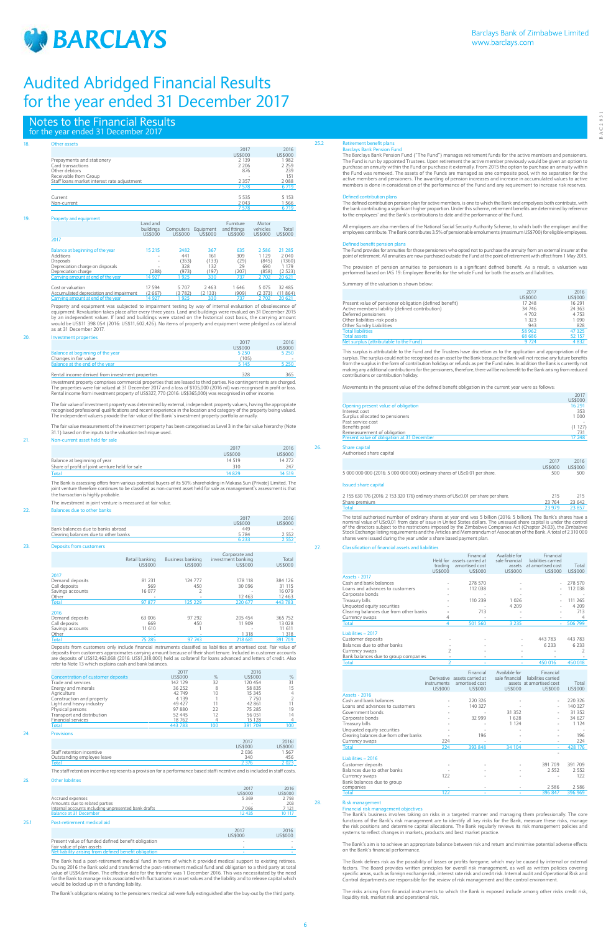

BAC2831

**BAC2831** 

# Notes to the Financial Results for the year ended 31 December 2017

| Other assets                                |           |           |           |                 |          |                 |  |
|---------------------------------------------|-----------|-----------|-----------|-----------------|----------|-----------------|--|
|                                             |           |           |           | 2017<br>US\$000 |          | 2016<br>US\$000 |  |
| Prepayments and stationery                  |           |           |           | 2 1 3 9         |          | 1982            |  |
| Card transactions                           |           |           |           | 2 2 0 6         |          | 2 2 5 9         |  |
| Other debtors                               |           |           |           | 876             |          | 239             |  |
| Receivable from Group                       |           |           |           |                 |          | 151             |  |
| Staff loans market interest rate adjustment |           |           |           | 2 3 5 7         |          | 2088            |  |
|                                             |           |           |           | 7578            |          | 6 7 19          |  |
| Current                                     |           |           |           | 5 5 3 5         |          | 5 1 5 3         |  |
| Non-current                                 |           |           |           | 2043            |          | 1 5 6 6         |  |
|                                             |           |           |           | 7578            |          | 6 7 19          |  |
| Property and equipment                      |           |           |           |                 |          |                 |  |
|                                             | Land and  |           |           | Furniture       | Motor    |                 |  |
|                                             | buildings | Computers | Equipment | and fittings    | vehicles | Total           |  |
|                                             | US\$000   | US\$000   | US\$000   | US\$000         | US\$000  | US\$000         |  |
| 2017                                        |           |           |           |                 |          |                 |  |
| Balance at beginning of the year            | 15 215    | 2482      | 367       | 635             | 2586     | 21 285          |  |
| Additions                                   |           | 441       | 161       | 309             | 1 1 2 9  | 2040            |  |
| <b>Disposals</b>                            |           | (353)     | (133)     | (29)            | (845)    | (1360)          |  |
| Depreciation charge on disposals            |           | 328       | 132       | 29              | 690      | 1 1 7 9         |  |
| Depreciation charge                         | (288)     | (973)     | (197)     | (207)           | (858)    | (2523)          |  |
| Carrying amount at end of the year          | 14 927    | 925       | 330       | 737             | 2 702    | 20 6 21         |  |
| Cost or valuation                           | 17 594    | 5 7 0 7   | 2 4 6 3   | 1646            | 5075     | 32 4 8 5        |  |
| Accumulated depreciation and impairment     | (2667)    | (3782)    | (2133)    | (909)           | (2373)   | (11864)         |  |
| Carrying amount at end of the year          | 14 927    | 925       | 330       | 737             | 2 702    | 20 6 21         |  |

Property and equipment was subjected to impairment testing by way of internal evaluation of obsolescence o equipment. Revaluation takes place after every three years. Land and buildings were revalued on 31 December 2015<br>by an independent valuer. If land and buildings were stated on the historical cost basis, the carrying amount as at 31 December 2017.

## 20. Investment properties

Investment property comprises commercial properties that are leased to third parties. No contingent rents are charged.<br>The properties were fair valued at 31 December 2017 and a loss of \$105,000 (2016 nil) was recognised in Rental income from investment property of US\$327, 770 (2016: US\$365,000) was recognised in other income.

The Bank is assessing offers from various potential buyers of its 50% shareholding in Makasa Sun (Private) Limited. The<br>joint venture therefore continues to be classified as non-current asset held for sale as management's the transaction is highly probable.

|                                  | 2011    | 2016    |
|----------------------------------|---------|---------|
|                                  | US\$000 | US\$000 |
| Balance at beginning of the year | 5 2 5 0 | 5 2 5 0 |
| Changes in fair value            | (105)   |         |
| Balance at the end of the year   | 5 145   | 5 2 5 0 |
|                                  |         |         |

Rental income derived from investment properties 328 365

Deposits from customers only include financial instruments classified as liabilities at amortised cost. Fair value of deposits from customers approximates carrying amount because of their short tenure. Included in customer accounts<br>are deposits of US\$12,463,068 (2016: US\$1,318,000) held as collateral for loans advanced and letters of cred

The fair value of investment property was determined by external, independent property valuers, having the appropriate recognised professional qualifications and recent experience in the location and category of the property being valued. The independent valuers provide the fair value of the Bank`s investment property portfolio annually.

The fair value measurement of the investment property has been categorised as Level 3 in the fair value hierarchy (Note 31.1) based on the inputs to the valuation technique used.

The Bank had a post-retirement medical fund in terms of which it provided medical support to existing retirees. During 2016 the Bank sold and transferred the post-retirement medical fund and obligation to a third party at total value of US\$4,6million. The effective date for the transfer was 1 December 2016. This was necessitated by the need<br>for the Bank to manage risks associated with fluctuations in asset values and the liability and to release

# 21. Non-current asset held for sale

|                                                | 2017    | 2016           |
|------------------------------------------------|---------|----------------|
|                                                | US\$000 | <b>US\$000</b> |
| Balance at beginning of year                   | 14 5 19 | 14 272         |
| Share of profit of joint venture held for sale | 310     | 247            |
| <b>Total</b>                                   | 14829   | 4 5 1 9        |

The investment in joint venture is measured at fair value.

# 22. Balances due to other banks

|                                      | 201'           | 2016    |
|--------------------------------------|----------------|---------|
|                                      | <b>US\$000</b> | US\$000 |
| Bank balances due to banks abroad    | 449            |         |
| Clearing balances due to other banks | 5784           | 2 552   |
|                                      | 5 233          | 2 5 5 2 |
| Deposits from customers              |                |         |

The defined contribution pension plan for active members, is one to which the Bank and empolyees both contribute, with the bank contributing a significant higher proportion. Under this scheme, retirement benefits are determined by reference<br>to the employees' and the Bank's contributions to date and the performance of the Fund.

|                  | Retail banking<br><b>US\$000</b> | Business banking<br><b>US\$000</b> | Corporate and<br>investment banking<br><b>US\$000</b> | Total<br>US\$000 |
|------------------|----------------------------------|------------------------------------|-------------------------------------------------------|------------------|
|                  |                                  |                                    |                                                       |                  |
| 2017             |                                  |                                    |                                                       |                  |
| Demand deposits  | 81 2 31                          | 124 777                            | 178 118                                               | 384 126          |
| Call deposits    | 569                              | 450                                | 30 0 96                                               | 31 115           |
| Savings accounts | 16 077                           |                                    |                                                       | 16 079           |
| Other            | ۰                                | $\sim$                             | 12 4 63                                               | 12463            |
| <b>Total</b>     | 97 877                           | 125 229                            | 220 677                                               | 443 783          |
|                  |                                  |                                    |                                                       |                  |
| 2016             |                                  |                                    |                                                       |                  |
| Demand deposits  | 63 006                           | 97 292                             | 205 454                                               | 365 752          |
| Call deposits    | 669                              | 450                                | 11 909                                                | 13 028           |
| Savings accounts | 11 610                           |                                    |                                                       | 11 611           |
| Other            | $\overline{\phantom{a}}$         | $\overline{\phantom{a}}$           | 1 3 1 8                                               | 1 318            |
| <b>Total</b>     | 75 285                           | 97 743                             | 218 681                                               | 391 709          |

|                                           | 2017     |      | 2016    |                |
|-------------------------------------------|----------|------|---------|----------------|
| <b>Concentration of customer deposits</b> | US\$000  | $\%$ | US\$000 | $\%$           |
| Trade and services                        | 142 129  | 32   | 120 454 | 31             |
| Energy and minerals                       | 36 25 2  |      | 58 835  | 15             |
| Agriculture                               | 42 749   | 10   | 15 3 45 | 4              |
| Construction and property                 | 4 1 3 9  |      | 7750    | $\overline{2}$ |
| Light and heavy industry                  | 49 427   | 11   | 42 861  | 11             |
| Physical persons                          | 97880    | 22   | 75 285  | 19             |
| Transport and distribution                | 52 4 4 5 | 12   | 56 051  | 14             |
| <b>Financial services</b>                 | 18762    |      | 15 128  | $\overline{4}$ |
| Total                                     | 443783   | 100  | 391 709 | 100            |

### 25.2 Retirement benefit plans<br>Barclays Bank Pension Fund **Barclays Bank Per**

|                                                                                                                              | 2017           | 2016    |
|------------------------------------------------------------------------------------------------------------------------------|----------------|---------|
|                                                                                                                              | <b>US\$000</b> | US\$000 |
| Staff retention incentive                                                                                                    | 2036           | 1567    |
| Outstanding employee leave                                                                                                   | 340            | 456     |
| <b>Total</b>                                                                                                                 | 2376           | 2.023   |
| The staff retention incentive represents a provision for a performance based staff incentive and is included in staff costs. |                |         |

# 25. Other liabilities

|                                                     | 2017           | 2016    |
|-----------------------------------------------------|----------------|---------|
|                                                     | <b>US\$000</b> | US\$000 |
| Accrued expenses                                    | 5369           | 2793    |
| Amounts due to related parties                      |                | 203     |
| Internal accounts including unpresented bank drafts | 7066           | 7 1 2 1 |
| <b>Balance at 31 December</b>                       | 12 435         | 10 117  |

# 25.1 Post-retirement medical aid

|                                                       | 2017<br>US\$000 | 2016<br><b>US\$000</b> |
|-------------------------------------------------------|-----------------|------------------------|
| Present value of funded defined benefit obligation    | -               |                        |
| Fair value of plan assets                             | -               | $\sim$                 |
| Net liability arising from defined benefit obligation |                 |                        |

Loans and advances to customers  $\frac{140327}{2}$  - 140 327 - 140 327 - 140 327 - 140 327 - 140 327 - 140 327 - 140 327 - 140 327 - 140 327 - 140 327 - 140 327 - 140 327 - 140 327 - 140 327 - 140 327 - 140 327 - 140 327 - 140 Government bonds - - 31 352 - 31 352

The Bank's obligations relating to the pensioners medical aid were fully extinguished after the buy-out by the third party.

# The Barclays Bank Pension Fund ("The Fund") manages retirement funds for the active members and pensioners. The Fund is run by appointed Trustees. Upon retirement the active member previously would be given an option to purchase an annuity within the Fund or purchase it externally. From 2015 the option to purchase an annuity within the Fund was removed. The assets of the Funds are managed as one composite pool, with no separation for the active members and pensioners. The awarding of pension increases and increase in accumulated values to active members is done in consideration of the performance of the Fund and any requirement to increase risk reserves.

### Defined contribution plans

All employees are also members of the National Social Security Authority Scheme, to which both the employer and the employees contribute. The Bank contributes 3.5% of pensionable emoluments (maximum US\$700) for eligible employees.

# Defined benefit pension plans The Fund provides for annuities for those pensioners who opted not to purchase the annuity from an external insurer at the

point of retirement. All annuities are now purchased outside the Fund at the point of retirement with effect from 1 May 2015.

The provision of pension annuities to pensioners is a significant defined benefit. As a result, a valuation was performed based on IAS 19: Employee Benefits for the whole Fund for both the assets and liabilities.

Summary of the valuation is shown below:

|                                                         | 2017    | 2016     |
|---------------------------------------------------------|---------|----------|
|                                                         | US\$000 | US\$000  |
| Present value of pensioner obligation (defined benefit) | 17 248  | 16 291   |
| Active members liability (defined contribution)         | 34 746  | 24 3 6 3 |
| Deferred pensioners                                     | 4 7 0 2 | 4 7 5 3  |
| Other liabilities-risk pools                            | 1 3 2 3 | 1090     |
| Other Sundry Liabilities                                | 943     | 828      |
| <b>Total liabilities</b>                                | 58 962  | 47 325   |
| <b>Total assets</b>                                     | 68 68 6 | 52 157   |
| Net surplus (attributable to the Fund)                  | 9 7 2 4 | 4 8 3 2  |

This surplus is attributable to the Fund and the Trustees have discretion as to the application and appropriation of the surplus. The surplus could not be recognised as an asset by the Bank because the Bank will not receive any future benefits<br>from the surplus in the form of contribution holidays or refunds as per the Fund rules. In addition making any additional contributions for the pensioners, therefore, there will be no benefit to the Bank arising from reduced contributions or contribution holiday.

Movements in the present value of the defined benefit obligation in the current year were as follows:

|     |                                                                                         |                 | 2017<br>US\$000          |
|-----|-----------------------------------------------------------------------------------------|-----------------|--------------------------|
|     | Opening present value of obligation<br>Interest cost<br>Surplus allocated to pensioners |                 | 16 291<br>353<br>1 0 0 0 |
|     | Past service cost<br>Benefits paid<br>Remeasurement of obligation                       |                 | (1127)<br>731            |
|     | Present value of obligation at 31 December                                              |                 | 17 248                   |
| 26. | Share capital<br>Authorised share capital                                               |                 |                          |
|     |                                                                                         | 2017<br>US\$000 | 2016<br>US\$000          |
|     | 5 000 000 000 (2016: 5 000 000 000) ordinary shares of USc0.01 per share.               | 500             | 500                      |
|     | lecund chara canital                                                                    |                 |                          |

Issued share capital

| 2 155 630 176 (2016: 2 153 320 176) ordinary shares of USc0.01 per share per share. | 215               | 215 |
|-------------------------------------------------------------------------------------|-------------------|-----|
| Share premium                                                                       | 23 764 23 642     |     |
| Total                                                                               | $73.979$ $73.857$ |     |

<u>Total</u> 23 979 23 857<br>The total authorised number of ordinary shares at year end was 5 billion (2016: 5 billion). The Bank's shares have a<br>nominal value of USc0,01 from date of issue in United States dollars. The unissued

# 27. Classification of financial assets and liabilities

|                                        | Held for<br>trading<br>US\$000 | Financial<br>assets carried at<br>amortised cost<br>US\$000 | Available for<br>sale financial<br>assets<br><b>US\$000</b> | Financial<br>liabilities carried<br>at amortised cost<br>US\$000 | Total<br><b>US\$000</b> |
|----------------------------------------|--------------------------------|-------------------------------------------------------------|-------------------------------------------------------------|------------------------------------------------------------------|-------------------------|
| <b>Assets - 2017</b>                   |                                |                                                             |                                                             |                                                                  |                         |
| Cash and bank balances                 |                                | 278 570                                                     |                                                             |                                                                  | 278 570                 |
| Loans and advances to customers        |                                | 112 038                                                     |                                                             |                                                                  | 112 038                 |
| Corporate bonds                        |                                |                                                             |                                                             |                                                                  |                         |
| Treasury bills                         |                                | 110 239                                                     | 1 0 2 6                                                     |                                                                  | 111 265                 |
| Unquoted equity securities             |                                |                                                             | 4 2 0 9                                                     |                                                                  | 4 2 0 9                 |
| Clearing balances due from other banks |                                | 713                                                         |                                                             |                                                                  | 713                     |
| Currency swaps                         | 4                              |                                                             |                                                             |                                                                  |                         |
| Total                                  | 4                              | 501 560                                                     | 3 2 3 5                                                     |                                                                  | 506 799                 |
| Liabilities - 2017                     |                                |                                                             |                                                             |                                                                  |                         |
| Customer deposits                      |                                |                                                             |                                                             | 443 783                                                          | 443 783                 |
| Balances due to other banks            |                                |                                                             |                                                             | 6 2 3 3                                                          | 6 2 3 3                 |
| Currency swaps                         | 2                              |                                                             |                                                             |                                                                  |                         |
| Bank balances due to group companies   |                                |                                                             |                                                             |                                                                  |                         |
| <b>Total</b>                           | フ                              |                                                             |                                                             | 450 016                                                          | 450 018                 |
|                                        |                                |                                                             |                                                             |                                                                  |                         |
|                                        | <b>Derivative</b>              | Financial<br>assets carried at                              | Available for<br>sale financial                             | Financial<br>liabilities carried                                 |                         |
|                                        | instruments                    | amortised cost                                              |                                                             | assets at amortised cost                                         | Total                   |
|                                        | <b>US\$000</b>                 | US\$000                                                     | US\$000                                                     | US\$000                                                          | US\$000                 |
| <b>Assets - 2016</b>                   |                                |                                                             |                                                             |                                                                  |                         |
| Cash and bank balances                 |                                | 220 326                                                     |                                                             |                                                                  | 220 326                 |

Treasury bills - - 1 124 - 1 124 Unquoted equity securities - - - - - Clearing balances due from other banks - 196 - - 196

| 224    | $\sim$                   | ۰                        | $\sim$                   | 224     |
|--------|--------------------------|--------------------------|--------------------------|---------|
| 224    | 393 848                  | 34 104                   |                          | 428 176 |
|        |                          |                          | $\overline{\phantom{a}}$ |         |
|        |                          |                          |                          |         |
| ۰      | $\overline{\phantom{a}}$ | $\overline{\phantom{a}}$ | 391 709                  | 391 709 |
|        | ۰                        | ۰                        | 2 5 5 2                  | 2 5 5 2 |
| 122    | ۰                        | ۰                        | ۰                        | 122     |
|        |                          |                          |                          |         |
| $\sim$ | $\sim$                   | $\sim$                   | 2 5 8 6                  | 2586    |
| 122    |                          |                          | 396 847                  | 396 969 |
|        |                          |                          |                          |         |

# 28. Risk management

Corporate bonds<br>Treasury bills

# Financial risk management objectives

The Bank's business involves taking on risks in a targeted manner and managing them professionally. The core functions of the Bank's risk management are to identify all key risks for the Bank, measure these risks, manage<br>the risk positions and determine capital allocations. The Bank regularly reviews its risk management policies systems to reflect changes in markets, products and best market practice.

The Bank's aim is to achieve an appropriate balance between risk and return and minimise potential adverse effects on the Bank's financial performance.

The Bank defines risk as the possibility of losses or profits foregone, which may be caused by internal or external factors. The Board provides written principles for overall risk management, as well as written policies covering<br>specific areas, such as foreign exchange risk, interest rate risk and credit risk. Internal audit and Operati Control departments are responsible for the review of risk management and the control environment.

The risks arising from financial instruments to which the Bank is exposed include among other risks credit risk, liquidity risk, market risk and operational risk.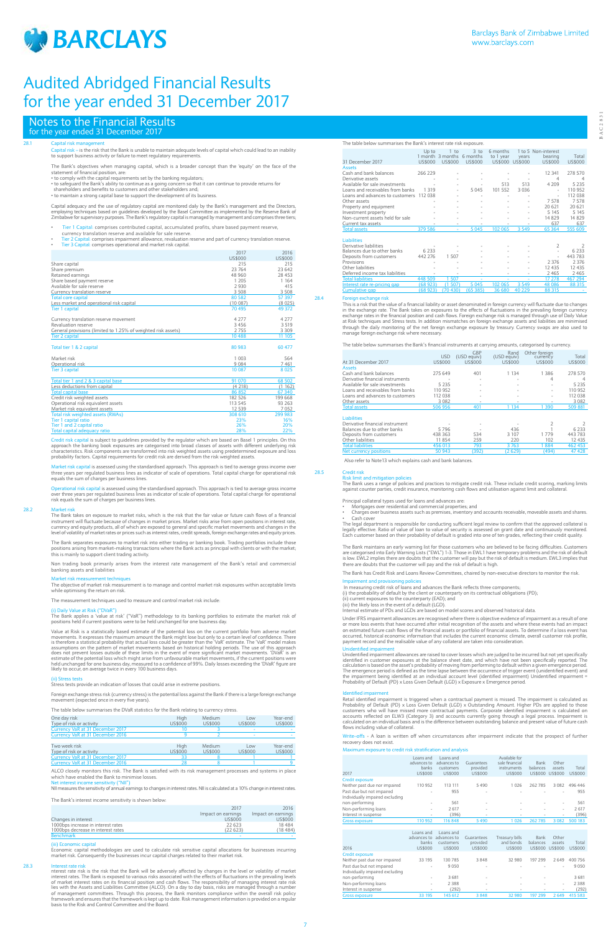

BAC2831

 $BAC283$ 

# 28.1 Capital risk management

Capital risk – is the risk that the Bank is unable to maintain adequate levels of capital which could lead to an inability to support business activity or failure to meet regulatory requirements.

The Bank's objectives when managing capital, which is a broader concept than the 'equity' on the face of the statement of financial position, are: • to comply with the capital requirements set by the banking regulators;

- Tier 1 Capital: comprises contributed capital, accumulated profits, share based payment reserve,
- 
- currency translation reserve and available for sale reserve.<br>• Tier 2 Capital: comprises impairment allowance, revaluation reserve and part of currency translation reserve.<br>• Tier 3 Capital: comprises operation

• to safeguard the Bank's ability to continue as a going concern so that it can continue to provide returns for shareholders and benefits to customers and other stakeholders and;

• to maintain a strong capital base to support the development of its business.

Capital adequacy and the use of regulatory capital are monitored daily by the Bank's management and the Directors,<br>employing techniques based on guidelines developed by the Basel Committee as implemented by the Reserve Ban

**Dital is subject to guidelines provided by the regulator which are based on Basel 1 principles. On this** approach the banking book exposures are categorised into broad classes of assets with different underlying risk<br>characteristics. Risk components are transformed into risk weighted assets using predetermined exposure and lo probability factors. Capital requirements for credit risk are derived from the risk weighted assets.

Operational risk capital is assessed using the standardised approach. This approach is tied to average gross income<br>over three years per regulated business lines as indicator of scale of operations. Total capital charge fo risk equals the sum of charges per business lines.

Market risk<br>The Bank takes on exposure to market risks, which is the risk that the fair value or future cash flows of a financial<br>instrument will fluctuate because of changes in market prices. Market risks arise from open currency and equity products, all of which are exposed to general and specific market movements and changes in the<br>level of volatility of market rates or prices such as interest rates, credit spreads, foreign exchange rate

|                                                               | 2017           | 2016           |
|---------------------------------------------------------------|----------------|----------------|
|                                                               | <b>US\$000</b> | <b>US\$000</b> |
| Share capital                                                 | 215            | 215            |
| Share premium                                                 | 23 764         | 23 642         |
| Retained earnings                                             | 48 960         | 28 453         |
| Share based payment reserve                                   | 1 2 0 5        | 1 1 6 4        |
| Available for sale reserve                                    | 2930           | 415            |
| Currency translation reserve                                  | 3508           | 3508           |
| <b>Total core capital</b>                                     | 80 582         | 57 397         |
| Less market and operational risk capital                      | (10087)        | (8025)         |
| Tier 1 capital                                                | 70495          | 49 372         |
| Currency translation reserve movement                         | 4 2 7 7        | 4 2 7 7        |
| Revaluation reserve                                           | 3 4 5 6        | 3 5 1 9        |
| General provisions (limited to 1.25% of weighted risk assets) | 2755           | 3 3 0 9        |
| <b>Tier 2 capital</b>                                         | 10 488         | 11 105         |
| Total tier 1 & 2 capital                                      | 80 983         | 60 477         |
| Market risk                                                   | 1 003          | 564            |
| Operational risk                                              | 9084           | 7461           |
| <b>Tier 3 capital</b>                                         | 10 0 87        | 8 0 2 5        |
| Total tier 1 and 2 & 3 capital base                           | 91 070         | 68 502         |
| Less deductions from capital                                  | (4218)         | (1162)         |
| <b>Total capital base</b>                                     | 86 852         | 67 340         |
| Credit risk weighted assets                                   | 182 526        | 199 668        |
| Operational risk equivalent assets                            | 113 545        | 93 263         |
| Market risk equivalent assets                                 | 12 539         | 7052           |
| Total risk weighted assets (RWAs)                             | 308 610        | 299 983        |
| Tier 1 capital ratio                                          | 23%            | 16%            |
| Tier 1 and 2 capital ratio                                    | 26%            | 20%            |
| Total capital adequacy ratio                                  | 28%            | 22%            |

Foreign exchange stress risk (currency stress) is the potential loss against the Bank if there is a large foreign exchange nt (expected once in every five years).

Market risk capital is assessed using the standardised approach. This approach is tied to average gross income over three years per regulated business lines as indicator of scale of operations. Total capital charge for operational risk equals the sum of charges per business lines.

Interest rate risk<br>Interest rate risk is the risk that the Bank will be adversely affected by changes in the level or volatility of market<br>Interest rates. The Bank is exposed to various risks associated with the effects of of market interest rates on its financial position and cash flows. The responsibility of managing interest rate risk<br>lies with the Assets and Liabilities Committee (ALCO). On a day to day basis, risks are managed through a of management committees. Through this process, the Bank monitors compliance within the overall risk policy framework and ensures that the framework is kept up to date. Risk management information is provided on a regular basis to the Risk and Control Committee and the Board.

The Bank separates exposures to market risk into either trading or banking book. Trading portfolios include those positions arising from market–making transactions where the Bank acts as principal with clients or with the market; this is mainly to support client trading activity.

Non trading book primarily arises from the interest rate management of the Bank's retail and commercial banking assets and liabilities

### Market risk r

The objective of market risk measurement is to manage and control market risk exposures within acceptable limits while optimising the return on risk.

The measurement techniques used to measure and control market risk include:

# Value at Risk ("DVaR

The Bank applies a 'value at risk' ("VaR") methodology to its banking portfolios to estimate the market risk of positions held if current positions were to be held unchanged for one business day.

Value at Risk is a statistically based estimate of the potential loss on the current portfolio from adverse market<br>movements. It expresses the maximum amount the Bank might lose but only to a certain level of confidence. T

The legal department is responsible for conducting sufficient legal review to confirm that the approved collateral is legally effective. Ratio of value of loan to value of security is assessed on grant date and continuously monitored.<br>Each customer based on their probability of default is graded into one of ten grades, reflecting their cr

# (ii) Stress tests

Stress tests provide an indication of losses that could arise in extreme positions.

# The table below summarises the DVaR statistics for the Bank relating to currency stress.

The Bank maintains an early warning list for those customers who are believed to be facing difficulties. Customers<br>are categorised into Early Warning Lists ("EWL") 1-3. Those in EWL1 have temporary problems and the risk of there are doubts that the customer will pay and the risk of default is high.

| The more perch. Sammanges the prair stations for the parint relating to call end, stress. |         |         |                |                |
|-------------------------------------------------------------------------------------------|---------|---------|----------------|----------------|
| One day risk                                                                              | High    | Medium  | Low            | Year-end       |
| Type of risk or activity                                                                  | US\$000 | US\$000 | <b>US\$000</b> | <b>US\$000</b> |
| Currency VaR at 31 December 2017                                                          |         |         |                |                |
| Currency VaR at 31 December 2016                                                          |         |         |                |                |

| Two week risk                    | Hiah    | Medium   | Low     | Year-end |
|----------------------------------|---------|----------|---------|----------|
| Type of risk or activity         | US\$000 | LIS\$000 | US\$000 | US\$000  |
| Currency VaR at 31 December 2017 |         |          |         |          |
| Currency VaR at 31 December 2016 |         |          |         |          |

ALCO closely monitors this risk. The Bank is satisfied with its risk management processes and systems in place which have enabled the Bank to minimise losses. Net interest income sensitivity ("NII")

NII measures the sensitivity of annual earnings to changes in interest rates. NII is calculated at a 10% change in interest rates.

The Bank's interest income sensitivity is shown below:

|                                    | 2017               | 2016               |
|------------------------------------|--------------------|--------------------|
|                                    | Impact on earnings | Impact on earnings |
| Changes in interest                | US\$000            | US\$000            |
| 1000bps increase in interest rates | 22623              | 18484              |
| 1000bps decrease in interest rates | (22623)            | (18, 484)          |
| <b>Benchmark</b>                   | -                  |                    |

## (iii) Economic capital

Economic capital methodologies are used to calculate risk sensitive capital allocations for businesses incurring<br>market risk. Consequently the businesses incur capital charges related to their market risk.

Identified impairment<br>Retail identified impairment is triggered when a contractual payment is missed. The impairment is calculated as Probability of Default (PD) x Loss Given Default (LGD) x Outstanding Amount. Higher PDs are applied to those<br>customers who will have missed more contractual payments. Corporate identified impairment is calculated on<br>accoun flows including value of collateral.

Write–offs - A loan is written off when circumstances after impairment indicate that the prospect of further covery does not exist

# The table below summarises the Bank's interest rate risk exposure.

|                                  | Up to    | 1 to<br>1 month 3 months | $3$ to<br>6 months | 6 months<br>to 1 year | vears          | 1 to 5 Non-interest<br>bearing | Total          |
|----------------------------------|----------|--------------------------|--------------------|-----------------------|----------------|--------------------------------|----------------|
| 31 December 2017                 | US\$000  | US\$000                  | US\$000            | <b>US\$000</b>        | <b>US\$000</b> | US\$000                        | <b>US\$000</b> |
| <b>Assets</b>                    |          |                          |                    |                       |                |                                |                |
| Cash and bank balances           | 266 229  |                          |                    |                       |                | 12 341                         | 278 570        |
| Derivative assets                |          |                          |                    |                       |                | 4                              | 4              |
| Available for sale investments   |          | ٠                        |                    | 513                   | 513            | 4 2 0 9                        | 5 2 3 5        |
| Loans and receivables from banks | 1 3 1 9  | ٠                        | 5045               | 101 552               | 3 0 3 6        |                                | 110 952        |
| Loans and advances to customers  | 112038   |                          |                    |                       |                |                                | 112 038        |
| Other assets                     |          |                          |                    |                       |                | 7578                           | 7578           |
| Property and equipment           |          | $\overline{\phantom{a}}$ | ۰                  | ٠                     |                | 20 6 21                        | 20 6 21        |
| Investment property              |          |                          |                    |                       |                | 5 1 4 5                        | 5 1 4 5        |
| Non-current assets held for sale |          |                          |                    |                       |                | 14 8 29                        | 14 8 29        |
| Current tax assets               |          |                          |                    |                       |                | 637                            | 637            |
| <b>Total assets</b>              | 379 586  |                          | 5 0 4 5            | 102 065               | 3 5 4 9        | 65 3 64                        | 555 609        |
|                                  |          |                          |                    |                       |                |                                |                |
| <b>Liabilities</b>               |          |                          |                    |                       |                |                                |                |
| Derivative liabilities           |          |                          |                    |                       |                | 2                              | 2              |
| Balances due to other banks      | 6 2 3 3  |                          |                    |                       |                | ٠                              | 6 2 3 3        |
| Deposits from customers          | 442 276  | 1.507                    |                    |                       |                | ×,                             | 443783         |
| Provisions                       |          |                          |                    |                       |                | 2 3 7 6                        | 2 3 7 6        |
| Other liabilities                |          |                          |                    |                       |                | 12 4 3 5                       | 12 4 3 5       |
| Deferred income tax liabilities  |          |                          |                    |                       |                | 2465                           | 2 4 6 5        |
| <b>Total liabilities</b>         | 448 509  | 507                      |                    |                       |                | 17 278                         | 467 294        |
| Interest rate re-pricing gap     | (68 923) | (1.507)                  | 5 0 4 5            | 102 065               | 3 5 4 9        | 48 0 86                        | 88 315         |
| <b>Cumulative gap</b>            | (68923)  | (70, 430)                | (65385)            | 36 680                | 40 2 29        | 88 315                         |                |

28.4 Foreign exchange risk This is a risk that the value of a financial liability or asset denominated in foreign currency will fluctuate due to changes in the exchange rate. The Bank takes on exposures to the effects of fluctuations in the prevailing foreign currency<br>exchange rates in the financial position and cash flows. Foreign exchange risk is managed through use of D through the daily monitoring of the net foreign exchange exposure by treasury. Currency swaps are also used to manage foreign exchange risk where necessary.

The table below summarises the Bank's financial instruments at carrying amounts, categorised by currency.

| At 31 December 2017              | <b>USD</b><br>US\$000 | GBP<br>(USD equiv)<br>US\$000 | Rand<br>(USD equiv)<br>US\$000 | Other foreign<br>currency<br>US\$000 | Total<br>US\$000 |
|----------------------------------|-----------------------|-------------------------------|--------------------------------|--------------------------------------|------------------|
| <b>Assets</b>                    |                       |                               |                                |                                      |                  |
| Cash and bank balances           | 275 649               | 401                           | 1 1 3 4                        | 1 386                                | 278 570          |
| Derivative financial instruments |                       | ٠                             |                                | 4                                    | 4                |
| Available for sale investments   | 5 2 3 5               | $\overline{\phantom{a}}$      |                                | ۰                                    | 5 2 3 5          |
| Loans and receivables from banks | 110 952               |                               |                                |                                      | 110 952          |
| Loans and advances to customers  | 112 038               | ٠                             |                                |                                      | 112 038          |
| Other assets                     | 3082                  | $\sim$                        |                                |                                      | 3082             |
| <b>Total assets</b>              | 506 956               | 401                           | 1 1 3 4                        | 390                                  | 509 881          |
| <b>Liabilities</b>               |                       |                               |                                |                                      |                  |
| Derivative financial instrument  |                       |                               |                                | $\overline{2}$                       |                  |
| Balances due to other banks      | 5796                  |                               | 436                            |                                      | 6 2 3 3          |
| Deposits from customers          | 438 363               | 534                           | 3 107                          | 1779                                 | 443 783          |
| Other liabilities                | 11854                 | 259                           | 220                            | 102                                  | 12 4 3 5         |

### Total liabilities 456 013 793 3 763 1 884 462 453 Net currency positions 50 943 (392) (2 629) (494) 47 428

Also refer to Note13 which explains cash and bank balances.

### 28.5 Credit risk Risk limit and mitigation policies

The Bank uses a range of policies and practices to mitigate credit risk. These include credit scoring, marking limits against counter parties, credit insurance, monitoring cash flows and utilisation against limit and collateral.

Principal collateral types used for loans and advances are:

• Mortgages over residential and commercial properties; and • Charges over business assets such as premises, inventory and accounts receivable, moveable assets and shares.

Cash cover

The Bank has Credit Risk and Loans Review Committees, chaired by non-executive directors to monitor the risk.

Impairment and provisioning policies In measuring credit risk of loans and advances the Bank reflects three components; (i) the probability of default by the client or counterparty on its contractual obligations (PD);

(ii) current exposures to the counterparty (EAD); and (iii) the likely loss in the event of a default (LGD).

Internal estimate of PDs and LGDs are based on model scores and observed historical data.

Under IFRS impairment allowances are recognised where there is objective evidence of impairment as a result of one<br>or more loss events that have occurred after initial recognition of the assets and where these events had a occurred, historical economic information that includes the current economic climate, overall customer risk profile,<br>payment record and the realisable value of any collateral are taken into consideration.

Unidentified impairment<br>Unidentified impairment<br>Unidentified impairment allowances are raised to cover losses which are judged to be incurred but not yet specifically<br>identified in customer exposures at the balance sheet d

## Maximum exposure to credit risk stratification and analysis

| 2017                            | Loans and<br>advances to<br>banks<br>US\$000 | Loans and<br>advances to<br>customers<br>US\$000 | Guarantees<br>provided<br>US\$000 | Available for<br>sale financial<br>instruments<br>US\$000 | Bank<br>balances<br>US\$000 | Other<br>assets<br><b>US\$000</b> | Total<br>US\$000 |
|---------------------------------|----------------------------------------------|--------------------------------------------------|-----------------------------------|-----------------------------------------------------------|-----------------------------|-----------------------------------|------------------|
| <b>Credit exposure</b>          |                                              |                                                  |                                   |                                                           |                             |                                   |                  |
| Neither past due nor impaired   | 110 952                                      | 113 111                                          | 5490                              | 1026                                                      | 262 785                     | 3 0 8 2                           | 496 446          |
| Past due but not impaired       | $\overline{\phantom{a}}$                     | 955                                              |                                   |                                                           |                             |                                   | 955              |
| Individually impaired excluding |                                              |                                                  |                                   |                                                           |                             |                                   |                  |
| non-performing                  | $\overline{\phantom{a}}$                     | 561                                              | ٠                                 | $\overline{\phantom{a}}$                                  |                             | $\overline{\phantom{a}}$          | 561              |
| Non-performing loans            | $\overline{\phantom{a}}$                     | 2617                                             | ٠                                 | $\overline{\phantom{a}}$                                  |                             | $\overline{\phantom{a}}$          | 2617             |
| Interest in suspense            | $\overline{\phantom{a}}$                     | (396)                                            | ٠                                 | $\overline{\phantom{a}}$                                  |                             | $\sim$                            | (396)            |
| <b>Gross exposure</b>           | 110 952                                      | 116848                                           | 5 4 9 0                           | 026                                                       | 262 785                     | 3.082                             | 500 183          |

| 2016                            | Loans and<br>advances to<br>banks<br>US\$000 | Loans and<br>advances to<br>customers<br>US\$000 | Guarantees<br>provided<br><b>US\$000</b> | Treasury bills<br>and bonds<br>US\$000 | Bank<br>balances<br>US\$000 | Other<br>assets<br>US\$000 | Total<br>US\$000 |
|---------------------------------|----------------------------------------------|--------------------------------------------------|------------------------------------------|----------------------------------------|-----------------------------|----------------------------|------------------|
| <b>Credit exposure</b>          |                                              |                                                  |                                          |                                        |                             |                            |                  |
| Neither past due nor impaired   | 33 195                                       | 130 785                                          | 3848                                     | 32 980                                 | 197 299                     | 2649                       | 400 756          |
| Past due but not impaired       | $\overline{\phantom{a}}$                     | 9050                                             |                                          | $\overline{\phantom{a}}$               |                             | $\overline{\phantom{a}}$   | 9050             |
| Individually impaired excluding |                                              |                                                  |                                          |                                        |                             |                            |                  |
| non-performing                  | $\overline{\phantom{a}}$                     | 3681                                             | ٠                                        | $\overline{a}$                         |                             |                            | 3681             |
| Non-performing loans            | $\overline{\phantom{a}}$                     | 2 3 8 8                                          |                                          | $\overline{a}$                         |                             | $\overline{\phantom{a}}$   | 2 3 8 8          |
| Interest in suspense            | $\overline{\phantom{a}}$                     | (292)                                            | $\overline{\phantom{a}}$                 | $\overline{\phantom{a}}$               |                             | $\overline{\phantom{a}}$   | (292)            |
| <b>Gross exposure</b>           | 33 195                                       | 145 612                                          | 3848                                     | 32 980                                 | 197 299                     | 2649                       | 415 583          |

# Notes to the Financial Results for the year ended 31 December 2017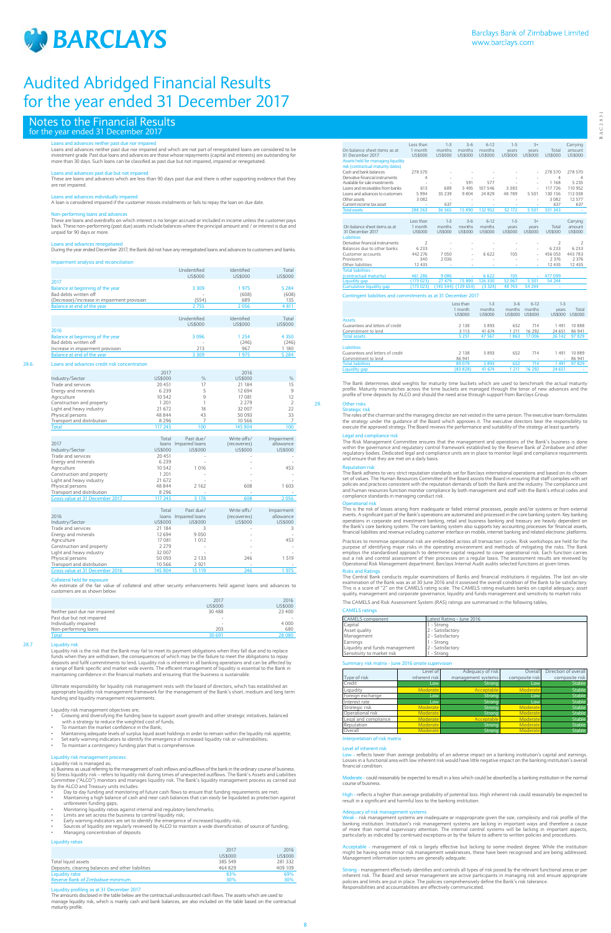

# Notes to the Financial Results for the year ended 31 December 2017

### Loans and advances neither past due nor impaired

Loans and advances neither past due nor impaired and which are not part of renegotiated loans are considered to be investment grade. Past due loans and advances are those whose repayments (capital and interests) are outstanding for more than 30 days. Such loans can be classified as past due but not impaired, impaired or renegotiated.

Non-performing loans and advances These are loans and overdrafts on which interest is no longer accrued or included in income unless the customer pays back. These non-performing (past due) assets include balances where the principal amount and / or interest is due and unpaid for 90 days or more

Loans and advances past due but not impaired These are loans and advances which are less than 90 days past due and there is other supporting evidence that they are not impaired.

Loans and advances individually impaired A loan is considered impaired if the customer misses instalments or fails to repay the loan on due date.

Loans and advances renegotiated During the year ended December 2017, the Bank did not have any renegotiated loans and advances to customers and banks.

## nent analysis and reconcili

|                                             | Unidentified | Identified | Total   |
|---------------------------------------------|--------------|------------|---------|
|                                             | US\$000      | US\$000    | US\$000 |
| 2017                                        |              |            |         |
| Balance at beginning of the year            | 3 3 0 9      | 1975       | 5 2 8 4 |
| Bad debts written off                       | ۰            | (608)      | (608)   |
| (Decrease)/increase in impairment provision | (554)        | 689        | 135     |
| Balance at end of the year                  | 2755         | 2056       | 4 8 1 1 |
|                                             |              |            |         |
|                                             | Unidentified | Identified | Total   |
|                                             | US\$000      | US\$000    | US\$000 |
| 2016                                        |              |            |         |
| Balance at beginning of the year            | 3 0 9 6      | 1 2 5 4    | 4 3 5 0 |
| Bad debts written off                       | ۰            | (246)      | (246)   |
| Increase in impairment provision            | 213          | 967        | 1 180   |
| Balance at end of the year                  | 3 3 0 9      | 1975       | 5 2 8 4 |

## 28.6. Loans and advances credit risk concentration

Ultimate responsibility for liquidity risk management rests with the board of directors, which has established an appropriate liquidity risk management framework for the management of the Bank's short, medium and long term funding and liquidity management requirements.

uidity risk management objectives are

|                            | 2017    |      | 2016    |               |
|----------------------------|---------|------|---------|---------------|
| Industry/Sector            | US\$000 | $\%$ | US\$000 | $\frac{0}{0}$ |
| Trade and services         | 20 451  | 17   | 21 184  | 15            |
| Energy and minerals        | 6 2 3 9 |      | 12 694  | 9             |
| Agriculture                | 10 542  | 9    | 17 081  | 12            |
| Construction and property  | 1 201   |      | 2 2 7 9 |               |
| Light and heavy industry   | 21 672  | 18   | 32 007  | 22            |
| Physical persons           | 48 844  | 43   | 50 093  | 33            |
| Transport and distribution | 8 2 9 6 |      | 10 566  |               |
| <b>Total</b>               | 117 245 | 100  | 145 904 | 100           |

a) Business as usual referring to the management of cash inflows and outflows of the bank in the ordinary course of business. b) Stress liquidity risk – refers to liquidity risk during times of unexpected outflows. The Bank's Assets and Liabilities<br>Committee ("ALCO") monitors and manages liquidity risk. The Bank's liquidity management process as by the ALCO and Treasury units includes:

| 2017                            | Total<br>loans | Past due/<br>Impaired loans | Write offs/<br>(recoveries) | Impairment<br>allowance |
|---------------------------------|----------------|-----------------------------|-----------------------------|-------------------------|
| Industry/Sector                 | US\$000        | <b>US\$000</b>              | US\$000                     | US\$000                 |
| Trade and services              | 20451          |                             |                             |                         |
| Energy and minerals             | 6239           |                             |                             |                         |
| Agriculture                     | 10 542         | 1016                        |                             | 453                     |
| Construction and property       | 1 201          |                             |                             |                         |
| Light and heavy industry        | 21 672         |                             |                             |                         |
| Physical persons                | 48 844         | 2 1 6 2                     | 608                         | 1 603                   |
| Transport and distribution      | 8 2 9 6        |                             |                             |                         |
| Gross value at 31 December 2017 | 117 245        | 3 1 7 8                     | 608                         | 2056                    |
|                                 |                |                             |                             |                         |
|                                 | Total          | Past due/                   | Write offs/                 | Impairment              |
| 2016                            | loans          | Impaired loans              | (recoveries)                | allowance               |
| Industry/Sector                 | US\$000        | US\$000                     | US\$000                     | US\$000                 |
| Trade and services              | 21 184         | 3                           |                             | 3                       |
| Energy and minerals             | 12 694         | 9 0 5 0                     |                             |                         |
| Agriculture                     | 17 081         | 1 0 1 2                     |                             | 453                     |
| Construction and property       | 2 2 7 9        |                             |                             |                         |
| Light and heavy industry        | 32 007         |                             |                             |                         |
| Physical persons                | 50 093         | 2 1 3 3                     | 246                         | 1 5 1 9                 |
| Transport and distribution      | 10 566         | 2921                        |                             |                         |

### Collateral held for

An estimate of the fair value of collateral and other security enhancements held against loans and advances to customers are as shown below:

Gross value at 31 December 2016 145 904 15 119 246 1975

|                               | 2017    | 2016    |
|-------------------------------|---------|---------|
|                               | US\$000 | US\$000 |
| Neither past due nor impaired | 30 488  | 23 400  |
| Past due but not impaired     | ۰       |         |
| Individually impaired         | ۰       | 4 0 0 0 |
| Non-performing loans          | 203     | 680     |
| <b>Total</b>                  | 30 691  | 28 0 80 |

# 28.7 Liquidity risk

Liquidity risk is the risk that the Bank may fail to meet its payment obligations when they fall due and to replace funds when they are withdrawn, the consequences of which may be the failure to meet the obligations to repay deposits and fulfil commitments to lend. Liquidity risk is inherent in all banking operations and can be affected by<br>a range of Bank specific and market wide events. The efficient management of liquidity is essential to th maintaining confidence in the financial markets and ensuring that the business is sustainable.

## 29. Other risks Strategic risk

The roles of the chairman and the managing director are not vested in the same person. The executive team formulates the strategy under the guidance of the Board which approves it. The executive directors bear the responsibility to<br>execute the approved strategy. The Board reviews the performance and suitability of the strategy at least q

# al and compliance risk

- Growing and diversifying the funding base to support asset growth and other strategic initiatives, balanced with a strategy to reduce the weighted cost of funds; • To maintain the market confidence in the Bank;
- 
- Maintaining adequate levels of surplus liquid asset holdings in order to remain within the liquidity risk appetite; • Set early warning indicators to identify the emergence of increased liquidity risk or vulnerabilities;
- 
- To maintain a contingency funding plan that is comprehensive.

### Liquidity risk management process

# Liquidity risk is managed as:

The Bank adheres to very strict reputation standards set for Barclays international operations and based on its chosen<br>set of values. The Human Resources Committee of the Board assists the Board in ensuring that staff comp and human resources function monitor compliance by both management and staff with the Bank's ethical codes and compliance standards in managing conduct risk.

- Day to day funding and monitoring of future cash flows to ensure that funding requirements are met;
- Maintaining a high balance of cash and near cash balances that can easily be liquidated as protection against unforeseen funding gaps;
- Monitoring liquidity ratios against internal and regulatory benchmarks;
- Limits are set across the business to control liquidity risk:
- Early warning indicators are set to identify the emergence of increased liquidity risk;
- Sources of liquidity are regularly reviewed by ALCO to maintain a wide diversification of source of funding;
- Managing concentration of deposits

The Central Bank conducts regular examinations of Banks and financial institutions it regulates. The last on-site<br>examination of the Bank was as at 30 June 2016 and it assessed the overall condition of the Bank to be satis quality, management and corporate governance, liquidity and funds management and sensitivity to market risks

## Liquidity ratios

|                                                   | 2017    | 2016    |
|---------------------------------------------------|---------|---------|
|                                                   | US\$000 | US\$000 |
| Total liquid assets                               | 385 549 | 281 332 |
| Deposits, clearing balances and other liabilities | 464 829 | 409 109 |
| Liquidity ratio                                   | 83%     | 69%     |
| Reserve Bank of Zimbabwe minimum                  | 30%     | 30%     |

# ing as at 31 December 2017

The amounts disclosed in the table below are the contractual undiscounted cash flows. The assets which are used to manage liquidity risk, which is mainly cash and bank balances, are also included on the table based on the contractual maturity profile.

Low - reflects lower than average probability of an adverse impact on a banking institution's capital and earnings.<br>Losses in a functional area with low inherent risk would have little negative impact on the banking instit financial condition.

- could reasonably be expected to result in a loss which could be absorbed by a banking institution in the normal course of business.

reflects a higher than average probability of potential loss. High inherent risk could reasonably be expected to result in a significant and harmful loss to the banking institution.

Adequacy of risk management systems Weak - risk management systems are inadequate or inappropriate given the size, complexity and risk profile of the banking institution. Institution's risk management systems are lacking in important ways and therefore a cause<br>of more than normal supervisory attention. The internal control systems will be lacking in important aspects,<br>p

- management of risk is largely effective but lacking to some modest degree. While the institution might be having some minor risk management weaknesses, these have been recognised and are being addressed. Management information systems are generally adequate.

|                                                               | Less than                | $1 - 3$        | $3 - 6$        | $6 - 12$       | $1 - 5$        | $5+$           |                          | Carrying                 |
|---------------------------------------------------------------|--------------------------|----------------|----------------|----------------|----------------|----------------|--------------------------|--------------------------|
| On balance sheet items as at                                  | 1 month                  | months         | months         | months         | years          | years          | Total                    | amount                   |
| 31 December 2017                                              | <b>US\$000</b>           | <b>US\$000</b> | US\$000        | <b>US\$000</b> | <b>US\$000</b> | <b>US\$000</b> | <b>US\$000</b>           | <b>US\$000</b>           |
| Assets held for managing liquidity                            |                          |                |                |                |                |                |                          |                          |
| risk (contractual maturity dates)                             |                          |                |                |                |                |                |                          |                          |
| Cash and bank balances                                        | 278 570                  |                |                |                |                |                | 278 570                  | 278 570                  |
| Derivative financial instruments                              | $\overline{4}$           |                |                |                |                |                | 4                        | 4                        |
| Available for sale investments                                |                          |                | 591            | 577            |                |                | 1 1 6 8                  | 5 2 3 5                  |
| Loans and receivables from banks                              | 613                      | 689            | 5 4 9 5        | 107 546        | 3 3 8 3        | ٠              | 117 726                  | 110 952                  |
| Loans and advances to customers                               | 5994                     | 35 239         | 9804           | 24 8 29        | 48789          | 5 5 0 1        | 130 156                  | 112 038                  |
| Other assets                                                  | 3 0 8 2                  |                |                |                |                |                | 3082                     | 12 577                   |
| Current income tax asset                                      |                          | 637            |                |                |                |                | 637                      | 637                      |
| <b>Total assets</b>                                           | 288 263                  | 36 565         | 15890          | 132 952        | 52 172         | 5 5 0 1        | 531 343                  |                          |
|                                                               |                          |                |                |                |                |                |                          |                          |
|                                                               | Less than                | $1 - 3$        | $3 - 6$        | $6-12$         | $1 - 5$        | $5+$           |                          | Carrying                 |
| On balance sheet items as at                                  | 1 month                  | months         | months         | months         | years          | years          | Total                    | amount                   |
| 31 December 2017                                              | <b>US\$000</b>           | <b>US\$000</b> | <b>US\$000</b> | <b>US\$000</b> | <b>US\$000</b> | US\$000        | US\$000                  | <b>US\$000</b>           |
| <b>Liabilities</b>                                            |                          |                |                |                |                |                |                          |                          |
| Derivative financial instruments                              | $\overline{\phantom{a}}$ |                |                |                |                |                | $\overline{\phantom{a}}$ | $\overline{\mathcal{L}}$ |
| Balances due to other banks                                   | 6 2 3 3                  |                |                |                |                |                | 6 2 3 3                  | 6 2 3 3                  |
| Customer accounts                                             | 442 276                  | 7050           | ٠              | 6622           | 105            | ٠              | 456 053                  | 443 783                  |
| Provisions                                                    | 340                      | 2036           |                |                |                |                | 2 3 7 6                  | 2 3 7 6                  |
| Other liabilities                                             | 12 4 3 5                 |                |                |                |                |                | 12 4 3 5                 | 12 4 3 5                 |
| <b>Total liabilities -</b>                                    |                          |                |                |                |                |                |                          |                          |
| (contractual maturity)                                        | 461 286                  | 9086           |                | 6622           | 105            |                | 477099                   |                          |
| Liquidity gap                                                 | (173023)                 | 27 479         | 15 890         | 126 330        | 52 067         | 5 5 0 1        | 54 244                   |                          |
| <b>Cumulative liquidity gap</b>                               | (173023)                 | (145544)       | (129654)       | (3324)         | 48743          | 54 244         |                          |                          |
| Contingent liabilities and commitments as at 31 December 2017 |                          |                |                |                |                |                |                          |                          |
|                                                               |                          |                | Less than      | $1-3$          | $3 - 6$        | $6-12$         | $1 - 5$                  |                          |
|                                                               |                          |                | 1 month        | months         |                | months months  | <b>VPArs</b>             | Total                    |

|                                  | Less than      | $-5$           | 3-b                      | $D-1$                    | כ-ו                      |         |
|----------------------------------|----------------|----------------|--------------------------|--------------------------|--------------------------|---------|
|                                  | month          | months         | months                   | months                   | vears                    | Total   |
|                                  | <b>US\$000</b> | <b>US\$000</b> | US\$000                  | <b>US\$000</b>           | <b>US\$000</b>           | US\$000 |
| <b>Assets</b>                    |                |                |                          |                          |                          |         |
| Guarantees and letters of credit | 2 1 3 8        | 5893           | 652                      | 714                      | 1 4 9 1                  | 10888   |
| Commitment to lend               | 3 1 1 3        | 41 674         | 1 2 1 1                  | 16 292                   | 24 651                   | 86 941  |
| Total assets                     | 5 2 5 1        | 47 5 67        | 863                      | 17006                    | 26 142                   | 97 829  |
| <b>Liabilities</b>               |                |                |                          |                          |                          |         |
| Guarantees and letters of credit | 2 1 3 8        | 5893           | 652                      | 714                      | 1 4 9 1                  | 10889   |
| Commitment to lend               | 86 941         | $\sim$         | $\overline{\phantom{a}}$ | $\overline{\phantom{a}}$ | $\overline{\phantom{a}}$ | 86 941  |
| <b>Total liabilities</b>         | 89 079         | 5 8 9 3        | 652                      | 714                      | 491                      | 97829   |
| Liquidity gap                    | (83 828)       | 41 674         | 21                       | 16 292                   | 24 651                   |         |

The Bank determines ideal weights for maturity time buckets which are used to benchmark the actual maturity profile. Maturity mismatches across the time buckets are managed through the tenor of new advances and the profile of time deposits by ALCO and should the need arise through support from Barclays Group.

The Risk Management Committee ensures that the management and operations of the Bank's business is done within the governance and regulatory control framework established by the Reserve Bank of Zimbabwe and other regulatory bodies. Dedicated legal and compliance units are in place to monitor legal and compliance requirements and ensure that they are met on a daily basis.

# *<u>Dutation</u>* risk

Operational risk This is the risk of losses arising from inadequate or failed internal processes, people and/or systems or from external events. A significant part of the Bank's operations are automated and processed in the core banking system. Key banking<br>operations in corporate and investment banking, retail and business banking and treasury are heavily d financial liabilities and revenue including customer interface on mobile, internet banking and related electronic platforms.

Practices to minimise operational risk are embedded across all transaction cycles. Risk workshops are held for the purpose of identifying major risks in the operating environment and methods of mitigating the risks. The Bank<br>employs the standardised approach to determine capital required to cover operational risk. Each function carries Operational Risk Management department. Barclays Internal Audit audits selected functions at given times.

### Risks and Ratings

The CAMELS and Risk Assessment System (RAS) ratings are summarised in the following tables;

# CAMELS ratings

| <b>CAMELS</b> component        | Latest Rating - June 2016 |
|--------------------------------|---------------------------|
| Capital                        | 1 - Strona                |
| Asset quality                  | 2 - Satisfactory          |
| Management                     | 2 - Satisfactory          |
| Earnings                       | 1 - Strong                |
| Liquidity and funds management | 2 - Satisfactory          |
| Sensitivity to market risk     | 1 - Strona                |

| Summary risk matrix - June 2016 onsite supervision |               |                    |                |                      |  |  |  |
|----------------------------------------------------|---------------|--------------------|----------------|----------------------|--|--|--|
|                                                    | Level of      | Adequacy of risk   | Overall        | Direction of overall |  |  |  |
| Type of risk                                       | inherent risk | management systems | composite risk | composite risk       |  |  |  |
| Credit                                             | Low           | Strong             | Low            | <b>Stable</b>        |  |  |  |
| Liquidity                                          | Moderate      | Acceptable         | Moderate       | <b>Stable</b>        |  |  |  |
| Foreign exchange                                   | Low           | Strong             | Low            | <b>Stable</b>        |  |  |  |
| Interest rate                                      | Low           | Strong             | Low            | <b>Stable</b>        |  |  |  |
| Strategic risk                                     | Moderate      | Strong             | Moderate       | <b>Stable</b>        |  |  |  |
| Operational risk                                   | Moderate      | Stronal            | Moderate       | <b>Stable</b>        |  |  |  |
| Legal and compliance                               | Moderate      | Acceptable         | Moderate       | <b>Stable</b>        |  |  |  |
| Reputation                                         | Moderate      | <b>Strong</b>      | Moderate       | <b>Stable</b>        |  |  |  |
| Overall                                            | Moderate      | Strong             | Moderate       | <b>Stable</b>        |  |  |  |

tation of risk m

# Level of inherent risk

Strong - management effectively identifies and controls all types of risk posed by the relevant functional areas or per inherent risk. The Board and senior management are active participants in managing risk and ensure appropriate policies and limits are put in place. The policies comprehensively define the Bank's risk tolerance. Responsibilities and accountabilities are effectively communicated.